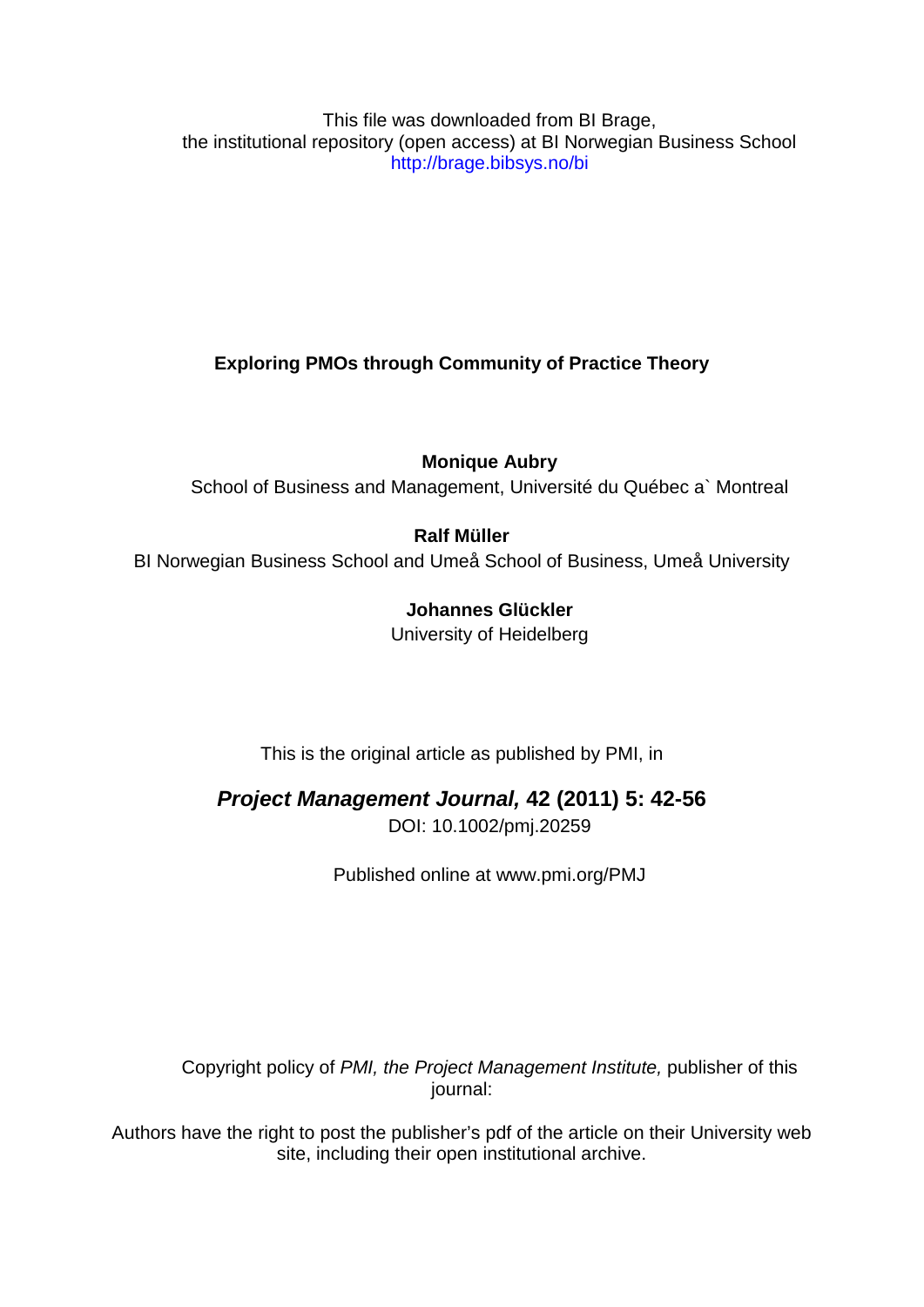This file was downloaded from BI Brage, the institutional repository (open access) at BI Norwegian Business School http://brage.bibsys.no/bi

**Exploring PMOs through Community of Practice Theory**

**Monique Aubry** School of Business and Management, Université du Québec a` Montreal

### **Ralf Müller**

BI Norwegian Business School and Umeå School of Business, Umeå University

**Johannes Glückler**

University of Heidelberg

This is the original article as published by PMI, in

*Project Management Journal,* **42 (2011) 5: 42-56**

DOI: 10.1002/pmj.20259

Published online at www.pmi.org/PMJ

Copyright policy of *PMI, the Project Management Institute,* publisher of this journal:

Authors have the right to post the publisher's pdf of the article on their University web site, including their open institutional archive.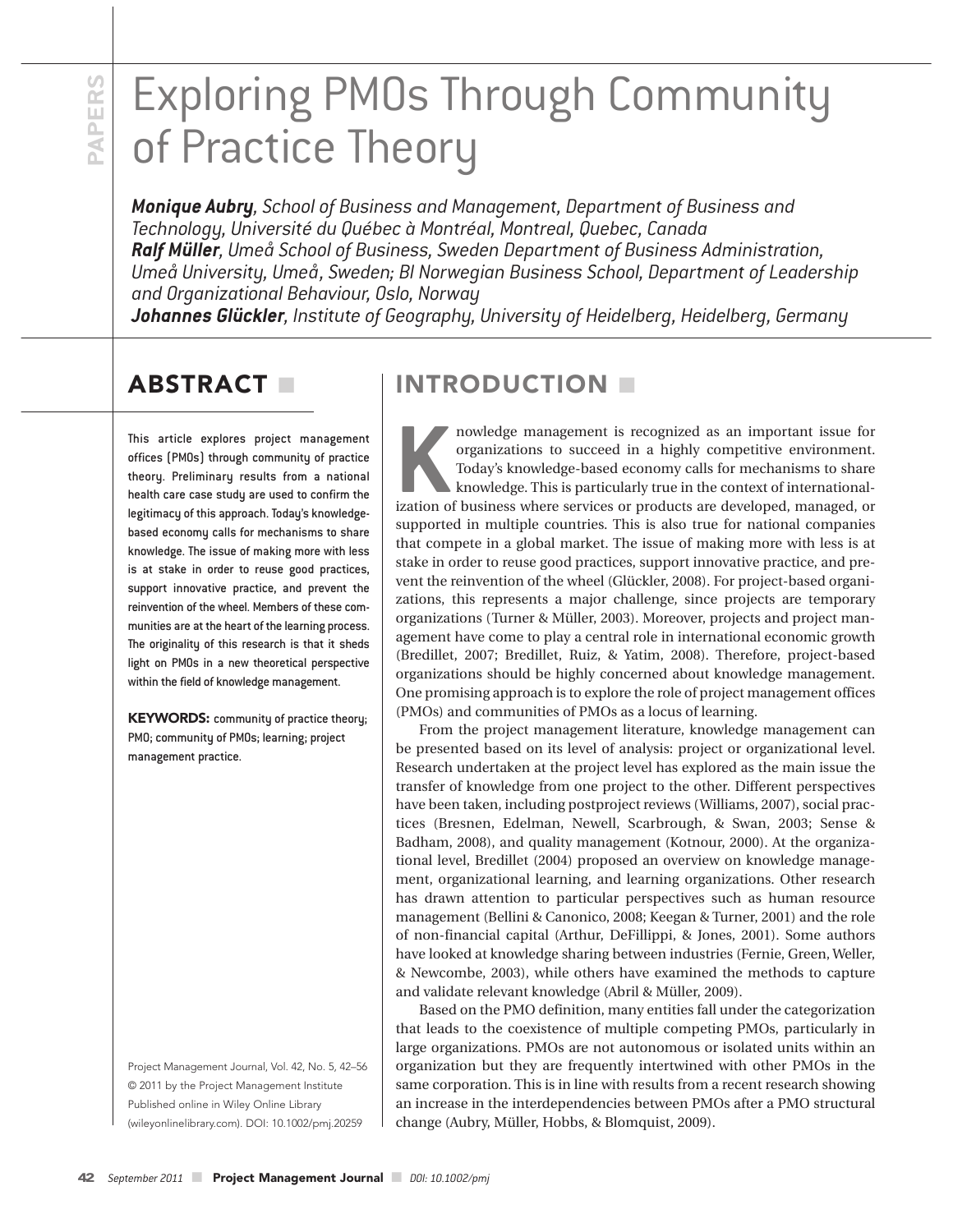*Monique Aubry, School of Business and Management, Department of Business and Technology, Université du Québec à Montréal, Montreal, Quebec, Canada Ralf Müller, Umeå School of Business, Sweden Department of Business Administration, Umeå University, Umeå, Sweden; BI Norwegian Business School, Department of Leadership and Organizational Behaviour, Oslo, Norway Johannes Glückler, Institute of Geography, University of Heidelberg, Heidelberg, Germany*

# ABSTRACT ■

 $[15pt] \begin{tabular}{|c|c|c|c|c|} \hline \multicolumn{1}{|c|}{\textbf{A} & \textbf{D} & \textbf{D} & \textbf{D} & \textbf{D} & \textbf{D} & \textbf{D} & \textbf{D} & \textbf{D} & \textbf{D} & \textbf{D} & \textbf{D} & \textbf{D} & \textbf{D} & \textbf{D} & \textbf{D} & \textbf{D} & \textbf{D} & \textbf{D} & \textbf{D} & \textbf{D} & \textbf{D} & \textbf{D} & \textbf{D} & \textbf{D} & \textbf{D}$ This article explores project management offices (PMOs) through community of practice theory. Preliminary results from a national health care case study are used to confirm the legitimacy of this approach. Today's knowledgebased economy calls for mechanisms to share knowledge. The issue of making more with less is at stake in order to reuse good practices, support innovative practice, and prevent the reinvention of the wheel. Members of these communities are at the heart of the learning process. The originality of this research is that it sheds light on PMOs in a new theoretical perspective within the field of knowledge management.

KEYWORDS: community of practice theory; PMO; community of PMOs; learning; project management practice.

Project Management Journal, Vol. 42, No. 5, 42–56 © 2011 by the Project Management Institute Published online in Wiley Online Library (wileyonlinelibrary.com). DOI: 10.1002/pmj.20259

# INTRODUCTION ■

**KALL INTERNATE IS TO EXECUTE THE MANUSTER IS DESCRIPTED A TODAY'S knowledge-based economy calls for mechanisms to share knowledge. This is particularly true in the context of internationalization of business where service** organizations to succeed in a highly competitive environment. Today's knowledge-based economy calls for mechanisms to share knowledge. This is particularly true in the context of internationalsupported in multiple countries. This is also true for national companies that compete in a global market. The issue of making more with less is at stake in order to reuse good practices, support innovative practice, and prevent the reinvention of the wheel (Glückler, 2008). For project-based organizations, this represents a major challenge, since projects are temporary organizations (Turner & Müller, 2003). Moreover, projects and project management have come to play a central role in international economic growth (Bredillet, 2007; Bredillet, Ruiz, & Yatim, 2008). Therefore, project-based organizations should be highly concerned about knowledge management. One promising approach is to explore the role of project management offices (PMOs) and communities of PMOs as a locus of learning.

From the project management literature, knowledge management can be presented based on its level of analysis: project or organizational level. Research undertaken at the project level has explored as the main issue the transfer of knowledge from one project to the other. Different perspectives have been taken, including postproject reviews (Williams, 2007), social practices (Bresnen, Edelman, Newell, Scarbrough, & Swan, 2003; Sense & Badham, 2008), and quality management (Kotnour, 2000). At the organizational level, Bredillet (2004) proposed an overview on knowledge management, organizational learning, and learning organizations. Other research has drawn attention to particular perspectives such as human resource management (Bellini & Canonico, 2008; Keegan & Turner, 2001) and the role of non-financial capital (Arthur, DeFillippi, & Jones, 2001). Some authors have looked at knowledge sharing between industries (Fernie, Green, Weller, & Newcombe, 2003), while others have examined the methods to capture and validate relevant knowledge (Abril & Müller, 2009).

Based on the PMO definition, many entities fall under the categorization that leads to the coexistence of multiple competing PMOs, particularly in large organizations. PMOs are not autonomous or isolated units within an organization but they are frequently intertwined with other PMOs in the same corporation. This is in line with results from a recent research showing an increase in the interdependencies between PMOs after a PMO structural change (Aubry, Müller, Hobbs, & Blomquist, 2009).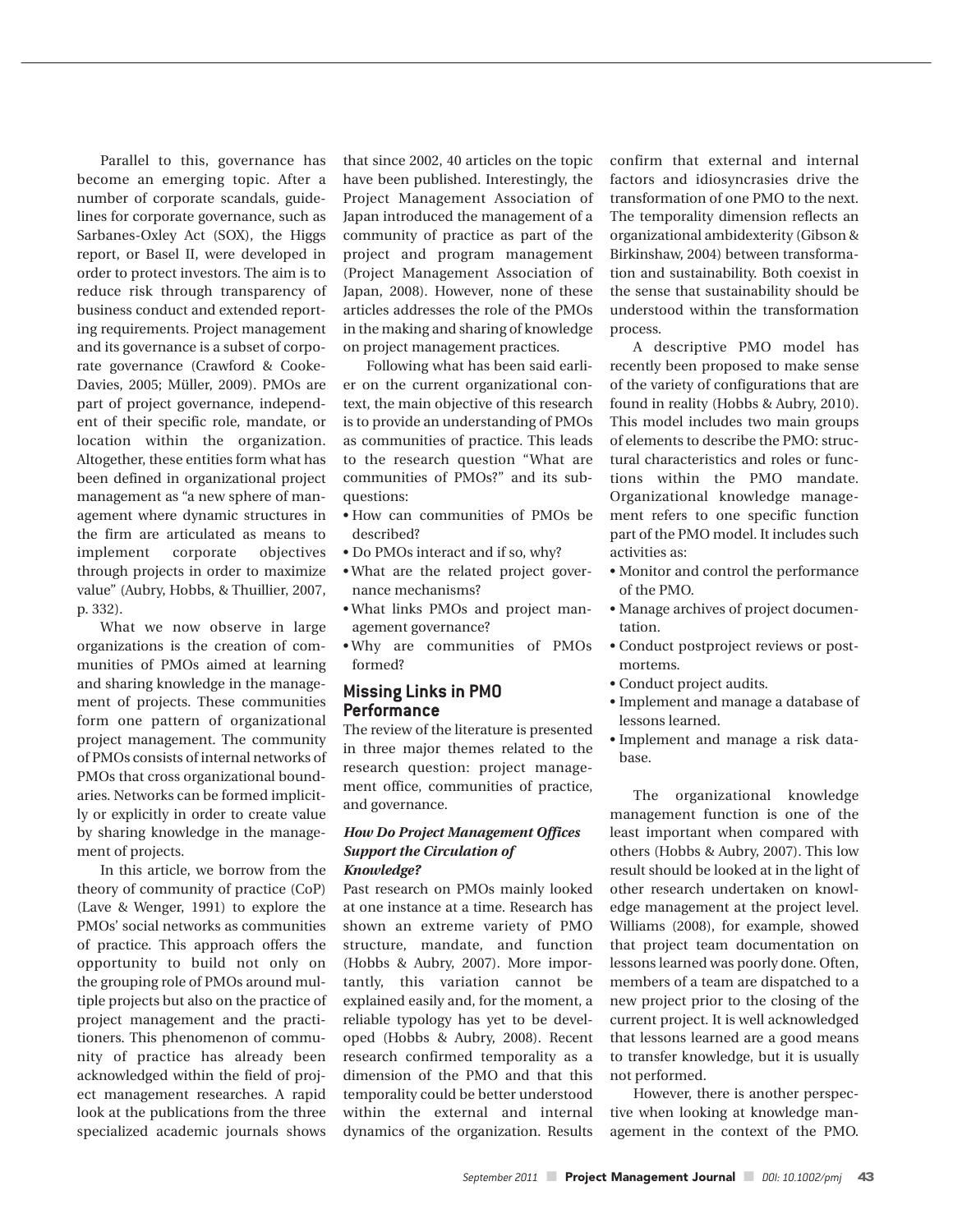Parallel to this, governance has become an emerging topic. After a number of corporate scandals, guidelines for corporate governance, such as Sarbanes-Oxley Act (SOX), the Higgs report, or Basel II, were developed in order to protect investors. The aim is to reduce risk through transparency of business conduct and extended reporting requirements. Project management and its governance is a subset of corporate governance (Crawford & Cooke-Davies, 2005; Müller, 2009). PMOs are part of project governance, independent of their specific role, mandate, or location within the organization. Altogether, these entities form what has been defined in organizational project management as "a new sphere of management where dynamic structures in the firm are articulated as means to implement corporate objectives through projects in order to maximize value" (Aubry, Hobbs, & Thuillier, 2007, p. 332).

What we now observe in large organizations is the creation of communities of PMOs aimed at learning and sharing knowledge in the management of projects. These communities form one pattern of organizational project management. The community of PMOs consists of internal networks of PMOs that cross organizational boundaries. Networks can be formed implicitly or explicitly in order to create value by sharing knowledge in the management of projects.

In this article, we borrow from the theory of community of practice (CoP) (Lave & Wenger, 1991) to explore the PMOs' social networks as communities of practice. This approach offers the opportunity to build not only on the grouping role of PMOs around multiple projects but also on the practice of project management and the practitioners. This phenomenon of community of practice has already been acknowledged within the field of project management researches. A rapid look at the publications from the three specialized academic journals shows

that since 2002, 40 articles on the topic have been published. Interestingly, the Project Management Association of Japan introduced the management of a community of practice as part of the project and program management (Project Management Association of Japan, 2008). However, none of these articles addresses the role of the PMOs in the making and sharing of knowledge on project management practices.

Following what has been said earlier on the current organizational context, the main objective of this research is to provide an understanding of PMOs as communities of practice. This leads to the research question "What are communities of PMOs?" and its subquestions:

- How can communities of PMOs be described?
- Do PMOs interact and if so, why?
- What are the related project governance mechanisms?
- What links PMOs and project management governance?
- Why are communities of PMOs formed?

#### **Missing Links in PMO Performance**

The review of the literature is presented in three major themes related to the research question: project management office, communities of practice, and governance.

#### *How Do Project Management Offices Support the Circulation of Knowledge?*

Past research on PMOs mainly looked at one instance at a time. Research has shown an extreme variety of PMO structure, mandate, and function (Hobbs & Aubry, 2007). More importantly, this variation cannot be explained easily and, for the moment, a reliable typology has yet to be developed (Hobbs & Aubry, 2008). Recent research confirmed temporality as a dimension of the PMO and that this temporality could be better understood within the external and internal dynamics of the organization. Results

confirm that external and internal factors and idiosyncrasies drive the transformation of one PMO to the next. The temporality dimension reflects an organizational ambidexterity (Gibson & Birkinshaw, 2004) between transformation and sustainability. Both coexist in the sense that sustainability should be understood within the transformation process.

A descriptive PMO model has recently been proposed to make sense of the variety of configurations that are found in reality (Hobbs & Aubry, 2010). This model includes two main groups of elements to describe the PMO: structural characteristics and roles or functions within the PMO mandate. Organizational knowledge management refers to one specific function part of the PMO model. It includes such activities as:

- Monitor and control the performance of the PMO.
- Manage archives of project documentation.
- Conduct postproject reviews or postmortems.
- Conduct project audits.
- Implement and manage a database of lessons learned.
- Implement and manage a risk database.

The organizational knowledge management function is one of the least important when compared with others (Hobbs & Aubry, 2007). This low result should be looked at in the light of other research undertaken on knowledge management at the project level. Williams (2008), for example, showed that project team documentation on lessons learned was poorly done. Often, members of a team are dispatched to a new project prior to the closing of the current project. It is well acknowledged that lessons learned are a good means to transfer knowledge, but it is usually not performed.

However, there is another perspective when looking at knowledge management in the context of the PMO.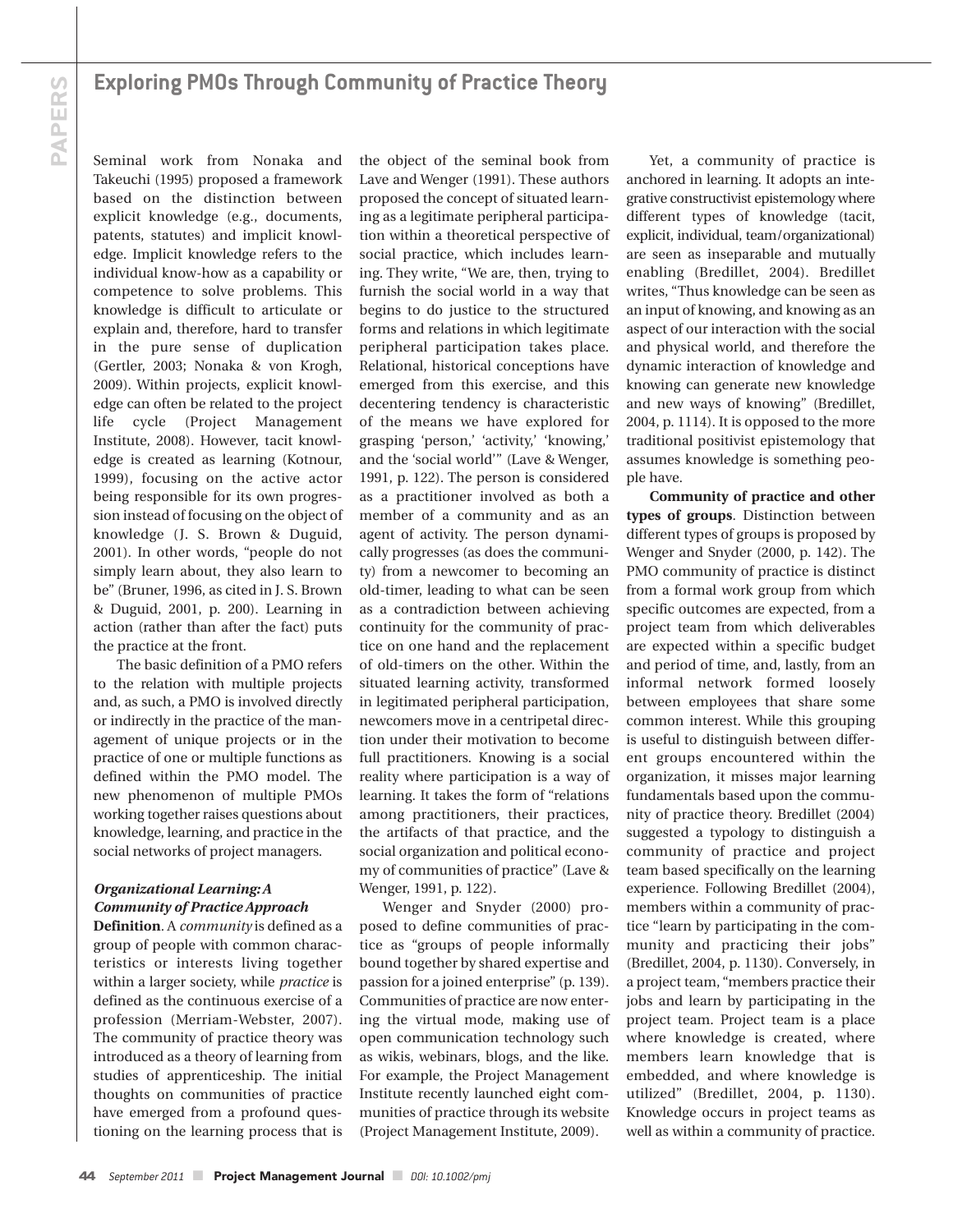Seminal work from Nonaka and Takeuchi (1995) proposed a framework based on the distinction between explicit knowledge (e.g., documents, patents, statutes) and implicit knowledge. Implicit knowledge refers to the individual know-how as a capability or competence to solve problems. This knowledge is difficult to articulate or explain and, therefore, hard to transfer in the pure sense of duplication (Gertler, 2003; Nonaka & von Krogh, 2009). Within projects, explicit knowledge can often be related to the project life cycle (Project Management Institute, 2008). However, tacit knowledge is created as learning (Kotnour, 1999), focusing on the active actor being responsible for its own progression instead of focusing on the object of knowledge (J. S. Brown & Duguid, 2001). In other words, "people do not simply learn about, they also learn to be" (Bruner, 1996, as cited in J. S. Brown & Duguid, 2001, p. 200). Learning in action (rather than after the fact) puts the practice at the front.

The basic definition of a PMO refers to the relation with multiple projects and, as such, a PMO is involved directly or indirectly in the practice of the management of unique projects or in the practice of one or multiple functions as defined within the PMO model. The new phenomenon of multiple PMOs working together raises questions about knowledge, learning, and practice in the social networks of project managers.

#### *Organizational Learning:A Community of Practice Approach*

**Definition***.* A *community* is defined as a group of people with common characteristics or interests living together within a larger society, while *practice* is defined as the continuous exercise of a profession (Merriam-Webster, 2007). The community of practice theory was introduced as a theory of learning from studies of apprenticeship. The initial thoughts on communities of practice have emerged from a profound questioning on the learning process that is the object of the seminal book from Lave and Wenger (1991). These authors proposed the concept of situated learning as a legitimate peripheral participation within a theoretical perspective of social practice, which includes learning. They write, "We are, then, trying to furnish the social world in a way that begins to do justice to the structured forms and relations in which legitimate peripheral participation takes place. Relational, historical conceptions have emerged from this exercise, and this decentering tendency is characteristic of the means we have explored for grasping 'person,' 'activity,' 'knowing,' and the 'social world'" (Lave & Wenger, 1991, p. 122). The person is considered as a practitioner involved as both a member of a community and as an agent of activity. The person dynamically progresses (as does the community) from a newcomer to becoming an old-timer, leading to what can be seen as a contradiction between achieving continuity for the community of practice on one hand and the replacement of old-timers on the other. Within the situated learning activity, transformed in legitimated peripheral participation, newcomers move in a centripetal direction under their motivation to become full practitioners. Knowing is a social reality where participation is a way of learning. It takes the form of "relations among practitioners, their practices, the artifacts of that practice, and the social organization and political economy of communities of practice" (Lave & Wenger, 1991, p. 122).

Wenger and Snyder (2000) proposed to define communities of practice as "groups of people informally bound together by shared expertise and passion for a joined enterprise" (p. 139). Communities of practice are now entering the virtual mode, making use of open communication technology such as wikis, webinars, blogs, and the like. For example, the Project Management Institute recently launched eight communities of practice through its website (Project Management Institute, 2009).

Yet, a community of practice is anchored in learning. It adopts an integrative constructivist epistemology where different types of knowledge (tacit, explicit, individual, team/organizational) are seen as inseparable and mutually enabling (Bredillet, 2004). Bredillet writes, "Thus knowledge can be seen as an input of knowing, and knowing as an aspect of our interaction with the social and physical world, and therefore the dynamic interaction of knowledge and knowing can generate new knowledge and new ways of knowing" (Bredillet, 2004, p. 1114). It is opposed to the more traditional positivist epistemology that assumes knowledge is something people have.

**Community of practice and other types of groups***.* Distinction between different types of groups is proposed by Wenger and Snyder (2000, p. 142). The PMO community of practice is distinct from a formal work group from which specific outcomes are expected, from a project team from which deliverables are expected within a specific budget and period of time, and, lastly, from an informal network formed loosely between employees that share some common interest. While this grouping is useful to distinguish between different groups encountered within the organization, it misses major learning fundamentals based upon the community of practice theory. Bredillet (2004) suggested a typology to distinguish a community of practice and project team based specifically on the learning experience. Following Bredillet (2004), members within a community of practice "learn by participating in the community and practicing their jobs" (Bredillet, 2004, p. 1130). Conversely, in a project team, "members practice their jobs and learn by participating in the project team. Project team is a place where knowledge is created, where members learn knowledge that is embedded, and where knowledge is utilized" (Bredillet, 2004, p. 1130). Knowledge occurs in project teams as well as within a community of practice.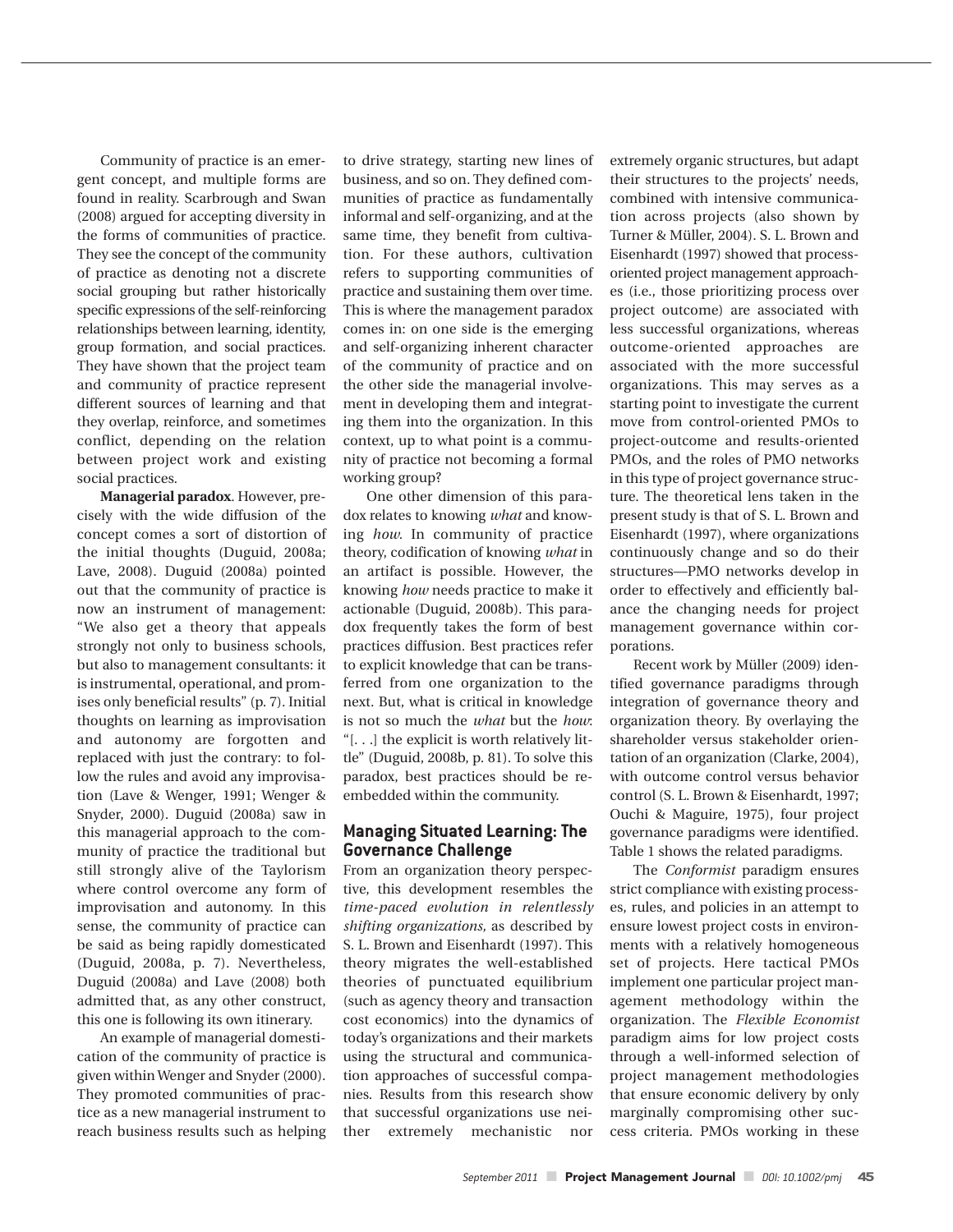Community of practice is an emergent concept, and multiple forms are found in reality. Scarbrough and Swan (2008) argued for accepting diversity in the forms of communities of practice. They see the concept of the community of practice as denoting not a discrete social grouping but rather historically specific expressions of the self-reinforcing relationships between learning, identity, group formation, and social practices. They have shown that the project team and community of practice represent different sources of learning and that they overlap, reinforce, and sometimes conflict, depending on the relation between project work and existing social practices.

**Managerial paradox***.* However, precisely with the wide diffusion of the concept comes a sort of distortion of the initial thoughts (Duguid, 2008a; Lave, 2008). Duguid (2008a) pointed out that the community of practice is now an instrument of management: "We also get a theory that appeals strongly not only to business schools, but also to management consultants: it is instrumental, operational, and promises only beneficial results" (p. 7). Initial thoughts on learning as improvisation and autonomy are forgotten and replaced with just the contrary: to follow the rules and avoid any improvisation (Lave & Wenger, 1991; Wenger & Snyder, 2000). Duguid (2008a) saw in this managerial approach to the community of practice the traditional but still strongly alive of the Taylorism where control overcome any form of improvisation and autonomy. In this sense, the community of practice can be said as being rapidly domesticated (Duguid, 2008a, p. 7). Nevertheless, Duguid (2008a) and Lave (2008) both admitted that, as any other construct, this one is following its own itinerary.

An example of managerial domestication of the community of practice is given within Wenger and Snyder (2000). They promoted communities of practice as a new managerial instrument to reach business results such as helping to drive strategy, starting new lines of business, and so on. They defined communities of practice as fundamentally informal and self-organizing, and at the same time, they benefit from cultivation. For these authors, cultivation refers to supporting communities of practice and sustaining them over time. This is where the management paradox comes in: on one side is the emerging and self-organizing inherent character of the community of practice and on the other side the managerial involvement in developing them and integrating them into the organization. In this context, up to what point is a community of practice not becoming a formal working group?

One other dimension of this paradox relates to knowing *what* and knowing *how.* In community of practice theory, codification of knowing *what* in an artifact is possible. However, the knowing *how* needs practice to make it actionable (Duguid, 2008b). This paradox frequently takes the form of best practices diffusion. Best practices refer to explicit knowledge that can be transferred from one organization to the next. But, what is critical in knowledge is not so much the *what* but the *how*: "[. . .] the explicit is worth relatively little" (Duguid, 2008b, p. 81). To solve this paradox, best practices should be reembedded within the community.

#### **Managing Situated Learning: The Governance Challenge**

From an organization theory perspective, this development resembles the *time-paced evolution in relentlessly shifting organizations,* as described by S. L. Brown and Eisenhardt (1997). This theory migrates the well-established theories of punctuated equilibrium (such as agency theory and transaction cost economics) into the dynamics of today's organizations and their markets using the structural and communication approaches of successful companies. Results from this research show that successful organizations use neither extremely mechanistic nor

extremely organic structures, but adapt their structures to the projects' needs, combined with intensive communication across projects (also shown by Turner & Müller, 2004). S. L. Brown and Eisenhardt (1997) showed that processoriented project management approaches (i.e., those prioritizing process over project outcome) are associated with less successful organizations, whereas outcome-oriented approaches are associated with the more successful organizations. This may serves as a starting point to investigate the current move from control-oriented PMOs to project-outcome and results-oriented PMOs, and the roles of PMO networks in this type of project governance structure. The theoretical lens taken in the present study is that of S. L. Brown and Eisenhardt (1997), where organizations continuously change and so do their structures—PMO networks develop in order to effectively and efficiently balance the changing needs for project management governance within corporations.

Recent work by Müller (2009) identified governance paradigms through integration of governance theory and organization theory. By overlaying the shareholder versus stakeholder orientation of an organization (Clarke, 2004), with outcome control versus behavior control (S. L. Brown & Eisenhardt, 1997; Ouchi & Maguire, 1975), four project governance paradigms were identified. Table 1 shows the related paradigms.

The *Conformist* paradigm ensures strict compliance with existing processes, rules, and policies in an attempt to ensure lowest project costs in environments with a relatively homogeneous set of projects. Here tactical PMOs implement one particular project management methodology within the organization. The *Flexible Economist* paradigm aims for low project costs through a well-informed selection of project management methodologies that ensure economic delivery by only marginally compromising other success criteria. PMOs working in these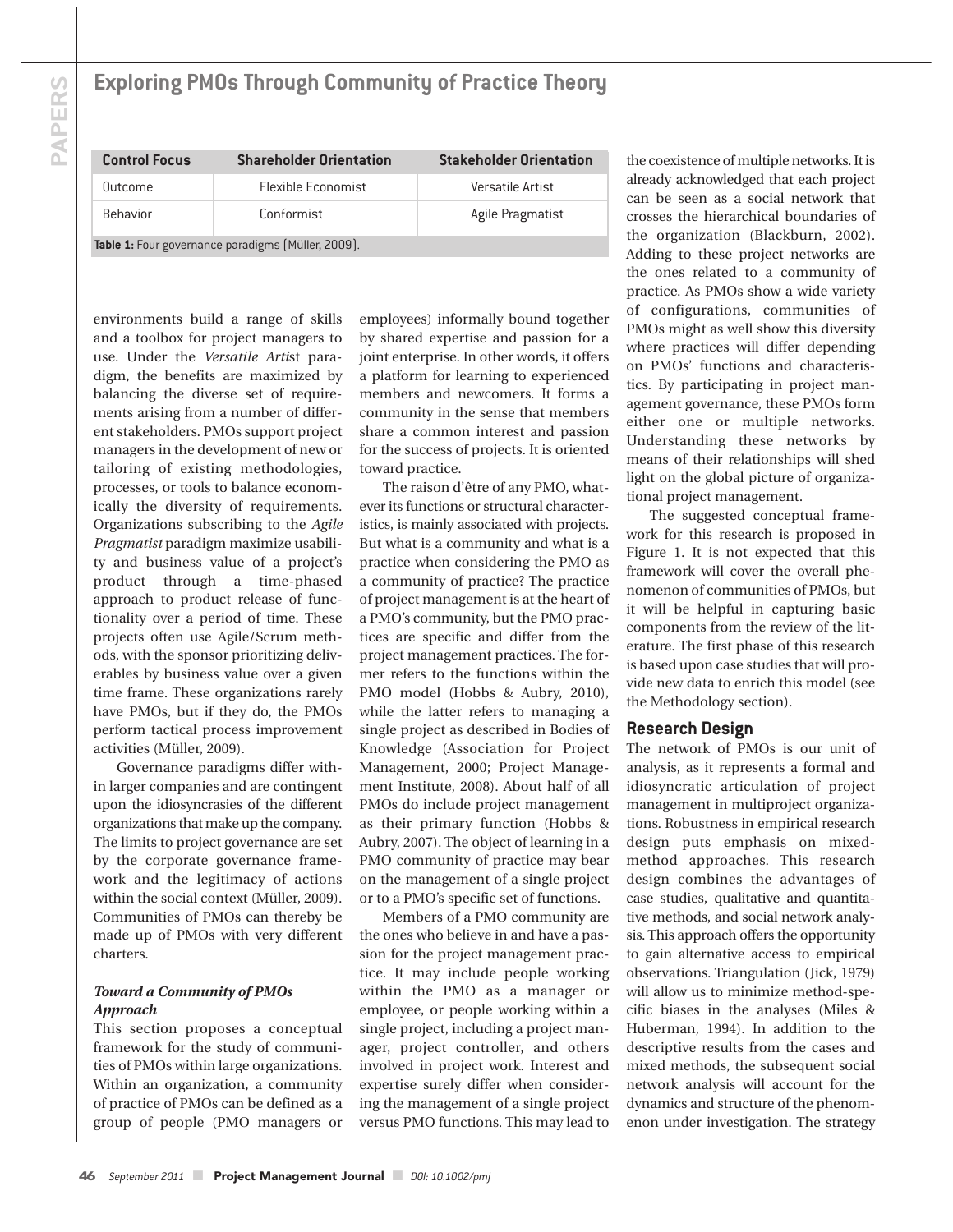| <b>Control Focus</b>                               | <b>Shareholder Orientation</b> | <b>Stakeholder Orientation</b> |  |  |
|----------------------------------------------------|--------------------------------|--------------------------------|--|--|
| Outcome                                            | Flexible Economist             | Versatile Artist               |  |  |
| Behavior                                           | Conformist                     | Agile Pragmatist               |  |  |
| Table 1: Four governance paradigms (Müller, 2009). |                                |                                |  |  |

environments build a range of skills and a toolbox for project managers to use. Under the *Versatile Arti*st paradigm, the benefits are maximized by balancing the diverse set of requirements arising from a number of different stakeholders. PMOs support project managers in the development of new or tailoring of existing methodologies, processes, or tools to balance economically the diversity of requirements. Organizations subscribing to the *Agile Pragmatist* paradigm maximize usability and business value of a project's product through a time-phased approach to product release of functionality over a period of time. These projects often use Agile/Scrum methods, with the sponsor prioritizing deliverables by business value over a given time frame. These organizations rarely have PMOs, but if they do, the PMOs perform tactical process improvement activities (Müller, 2009).

Governance paradigms differ within larger companies and are contingent upon the idiosyncrasies of the different organizations that make up the company. The limits to project governance are set by the corporate governance framework and the legitimacy of actions within the social context (Müller, 2009). Communities of PMOs can thereby be made up of PMOs with very different charters.

#### *Toward a Community of PMOs Approach*

This section proposes a conceptual framework for the study of communities of PMOs within large organizations. Within an organization, a community of practice of PMOs can be defined as a group of people (PMO managers or employees) informally bound together by shared expertise and passion for a joint enterprise. In other words, it offers a platform for learning to experienced members and newcomers. It forms a community in the sense that members share a common interest and passion for the success of projects. It is oriented toward practice.

The raison d'être of any PMO, whatever its functions or structural characteristics, is mainly associated with projects. But what is a community and what is a practice when considering the PMO as a community of practice? The practice of project management is at the heart of a PMO's community, but the PMO practices are specific and differ from the project management practices. The former refers to the functions within the PMO model (Hobbs & Aubry, 2010), while the latter refers to managing a single project as described in Bodies of Knowledge (Association for Project Management, 2000; Project Management Institute, 2008). About half of all PMOs do include project management as their primary function (Hobbs & Aubry, 2007). The object of learning in a PMO community of practice may bear on the management of a single project or to a PMO's specific set of functions.

Members of a PMO community are the ones who believe in and have a passion for the project management practice. It may include people working within the PMO as a manager or employee, or people working within a single project, including a project manager, project controller, and others involved in project work. Interest and expertise surely differ when considering the management of a single project versus PMO functions. This may lead to the coexistence of multiple networks. It is already acknowledged that each project can be seen as a social network that crosses the hierarchical boundaries of the organization (Blackburn, 2002). Adding to these project networks are the ones related to a community of practice. As PMOs show a wide variety of configurations, communities of PMOs might as well show this diversity where practices will differ depending on PMOs' functions and characteristics. By participating in project management governance, these PMOs form either one or multiple networks. Understanding these networks by means of their relationships will shed light on the global picture of organizational project management.

The suggested conceptual framework for this research is proposed in Figure 1. It is not expected that this framework will cover the overall phenomenon of communities of PMOs, but it will be helpful in capturing basic components from the review of the literature. The first phase of this research is based upon case studies that will provide new data to enrich this model (see the Methodology section).

#### **Research Design**

The network of PMOs is our unit of analysis, as it represents a formal and idiosyncratic articulation of project management in multiproject organizations. Robustness in empirical research design puts emphasis on mixedmethod approaches. This research design combines the advantages of case studies, qualitative and quantitative methods, and social network analysis. This approach offers the opportunity to gain alternative access to empirical observations. Triangulation (Jick, 1979) will allow us to minimize method-specific biases in the analyses (Miles & Huberman, 1994). In addition to the descriptive results from the cases and mixed methods, the subsequent social network analysis will account for the dynamics and structure of the phenomenon under investigation. The strategy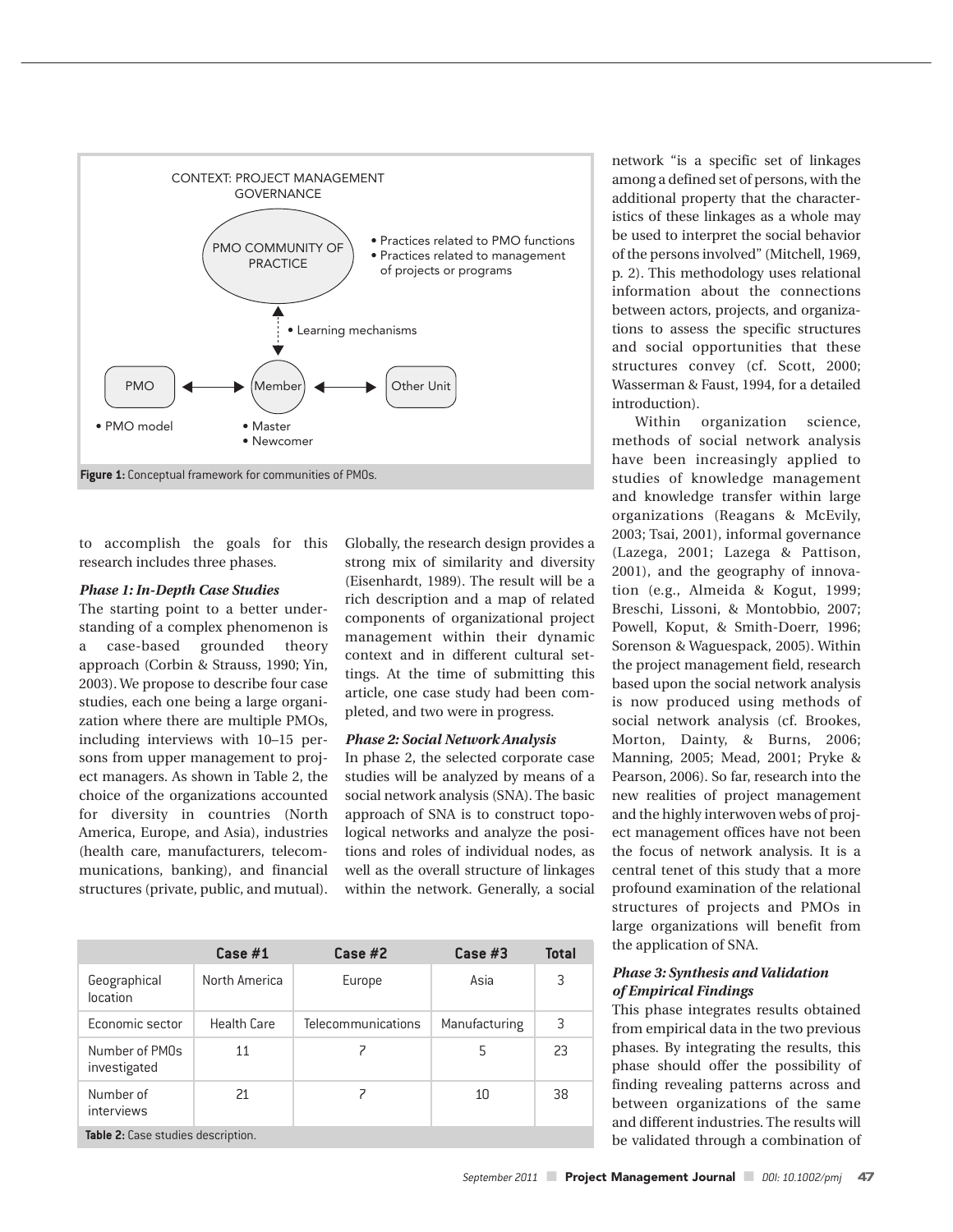

to accomplish the goals for this research includes three phases.

#### *Phase 1:In-Depth Case Studies*

The starting point to a better understanding of a complex phenomenon is a case-based grounded theory approach (Corbin & Strauss, 1990; Yin, 2003). We propose to describe four case studies, each one being a large organization where there are multiple PMOs, including interviews with 10–15 persons from upper management to project managers. As shown in Table 2, the choice of the organizations accounted for diversity in countries (North America, Europe, and Asia), industries (health care, manufacturers, telecommunications, banking), and financial structures (private, public, and mutual).

Globally, the research design provides a strong mix of similarity and diversity (Eisenhardt, 1989). The result will be a rich description and a map of related components of organizational project management within their dynamic context and in different cultural settings. At the time of submitting this article, one case study had been completed, and two were in progress.

#### *Phase 2:Social Network Analysis*

In phase 2, the selected corporate case studies will be analyzed by means of a social network analysis (SNA). The basic approach of SNA is to construct topological networks and analyze the positions and roles of individual nodes, as well as the overall structure of linkages within the network. Generally, a social

|                                           | Case $#1$          | Case $#2$          | Case $#3$     | <b>Total</b> |
|-------------------------------------------|--------------------|--------------------|---------------|--------------|
| Geographical<br>location                  | North America      | Europe             | Asia          | 3            |
| Economic sector                           | <b>Health Care</b> | Telecommunications | Manufacturing | 3            |
| Number of PMOs<br>investigated            | 11                 | 7                  | 5             | 23           |
| Number of<br>interviews                   | 21                 | 7                  | 10            | 38           |
| <b>Table 2:</b> Case studies description. |                    |                    |               |              |

network "is a specific set of linkages among a defined set of persons, with the additional property that the characteristics of these linkages as a whole may be used to interpret the social behavior of the persons involved" (Mitchell, 1969, p. 2). This methodology uses relational information about the connections between actors, projects, and organizations to assess the specific structures and social opportunities that these structures convey (cf. Scott, 2000; Wasserman & Faust, 1994, for a detailed introduction).

Within organization science, methods of social network analysis have been increasingly applied to studies of knowledge management and knowledge transfer within large organizations (Reagans & McEvily, 2003; Tsai, 2001), informal governance (Lazega, 2001; Lazega & Pattison, 2001), and the geography of innovation (e.g., Almeida & Kogut, 1999; Breschi, Lissoni, & Montobbio, 2007; Powell, Koput, & Smith-Doerr, 1996; Sorenson & Waguespack, 2005). Within the project management field, research based upon the social network analysis is now produced using methods of social network analysis (cf. Brookes, Morton, Dainty, & Burns, 2006; Manning, 2005; Mead, 2001; Pryke & Pearson, 2006). So far, research into the new realities of project management and the highly interwoven webs of project management offices have not been the focus of network analysis. It is a central tenet of this study that a more profound examination of the relational structures of projects and PMOs in large organizations will benefit from the application of SNA.

#### *Phase 3:Synthesis and Validation of Empirical Findings*

This phase integrates results obtained from empirical data in the two previous phases. By integrating the results, this phase should offer the possibility of finding revealing patterns across and between organizations of the same and different industries. The results will be validated through a combination of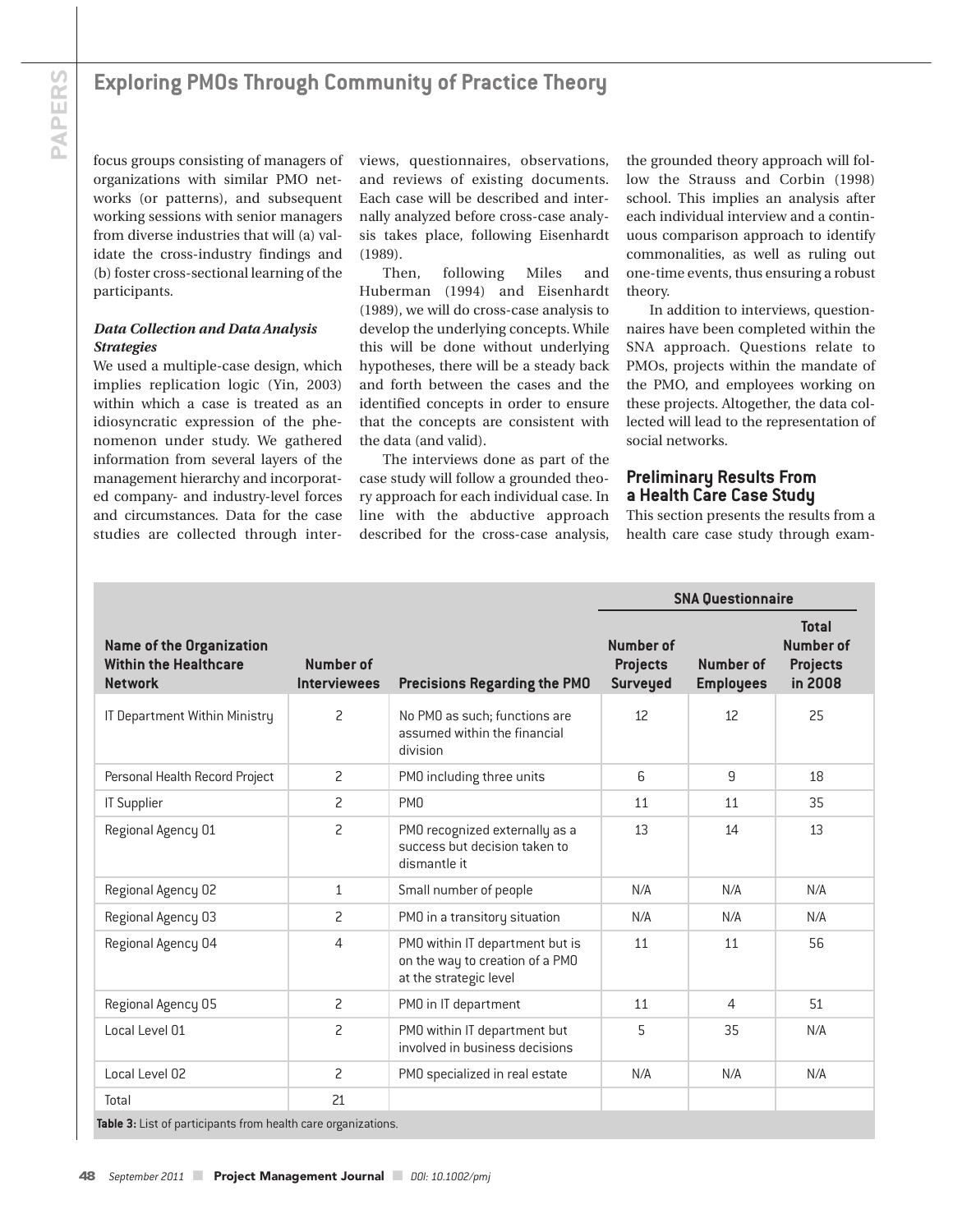focus groups consisting of managers of organizations with similar PMO networks (or patterns), and subsequent working sessions with senior managers from diverse industries that will (a) validate the cross-industry findings and (b) foster cross-sectional learning of the participants.

#### *Data Collection and Data Analysis Strategies*

We used a multiple-case design, which implies replication logic (Yin, 2003) within which a case is treated as an idiosyncratic expression of the phenomenon under study. We gathered information from several layers of the management hierarchy and incorporated company- and industry-level forces and circumstances. Data for the case studies are collected through interviews, questionnaires, observations, and reviews of existing documents. Each case will be described and internally analyzed before cross-case analysis takes place, following Eisenhardt (1989).

Then, following Miles and Huberman (1994) and Eisenhardt (1989), we will do cross-case analysis to develop the underlying concepts. While this will be done without underlying hypotheses, there will be a steady back and forth between the cases and the identified concepts in order to ensure that the concepts are consistent with the data (and valid).

The interviews done as part of the case study will follow a grounded theory approach for each individual case. In line with the abductive approach described for the cross-case analysis, the grounded theory approach will follow the Strauss and Corbin (1998) school. This implies an analysis after each individual interview and a continuous comparison approach to identify commonalities, as well as ruling out one-time events, thus ensuring a robust theory.

In addition to interviews, questionnaires have been completed within the SNA approach. Questions relate to PMOs, projects within the mandate of the PMO, and employees working on these projects. Altogether, the data collected will lead to the representation of social networks.

#### **Preliminary Results From a Health Care Case Study**

This section presents the results from a health care case study through exam-

|                                                                                   |                                  |                                                                                              |                                                 | <b>SNA Questionnaire</b>      |                                                         |
|-----------------------------------------------------------------------------------|----------------------------------|----------------------------------------------------------------------------------------------|-------------------------------------------------|-------------------------------|---------------------------------------------------------|
| <b>Name of the Organization</b><br><b>Within the Healthcare</b><br><b>Network</b> | Number of<br><b>Interviewees</b> | <b>Precisions Regarding the PMO</b>                                                          | Number of<br><b>Projects</b><br><b>Surveyed</b> | Number of<br><b>Employees</b> | <b>Total</b><br>Number of<br><b>Projects</b><br>in 2008 |
| IT Department Within Ministry                                                     | $\overline{c}$                   | No PMO as such; functions are<br>assumed within the financial<br>division                    | 12                                              | 12                            | 25                                                      |
| Personal Health Record Project                                                    | $\overline{c}$                   | PMO including three units                                                                    | 6                                               | 9                             | 18                                                      |
| IT Supplier                                                                       | $\mathcal{P}$                    | PM <sub>0</sub>                                                                              | 11                                              | 11                            | 35                                                      |
| Regional Agency 01                                                                | $\overline{c}$                   | PMO recognized externally as a<br>success but decision taken to<br>dismantle it              | 13                                              | 14                            | 13                                                      |
| Regional Agency 02                                                                | $\mathbf{1}$                     | Small number of people                                                                       | N/A                                             | N/A                           | N/A                                                     |
| Regional Agency 03                                                                | $\overline{c}$                   | PMO in a transitory situation                                                                | N/A                                             | N/A                           | N/A                                                     |
| Regional Agency 04                                                                | 4                                | PMO within IT department but is<br>on the way to creation of a PMO<br>at the strategic level | 11                                              | 11                            | 56                                                      |
| Regional Agency 05                                                                | $\overline{c}$                   | PMO in IT department                                                                         | 11                                              | $\overline{4}$                | 51                                                      |
| Local Level 01                                                                    | $\mathcal{P}$                    | PMO within IT department but<br>involved in business decisions                               | 5                                               | 35                            | N/A                                                     |
| Local Level 02                                                                    | $\overline{c}$                   | PMO specialized in real estate                                                               | N/A                                             | N/A                           | N/A                                                     |
| Total                                                                             | 21                               |                                                                                              |                                                 |                               |                                                         |
| Table 3: List of participants from health care organizations.                     |                                  |                                                                                              |                                                 |                               |                                                         |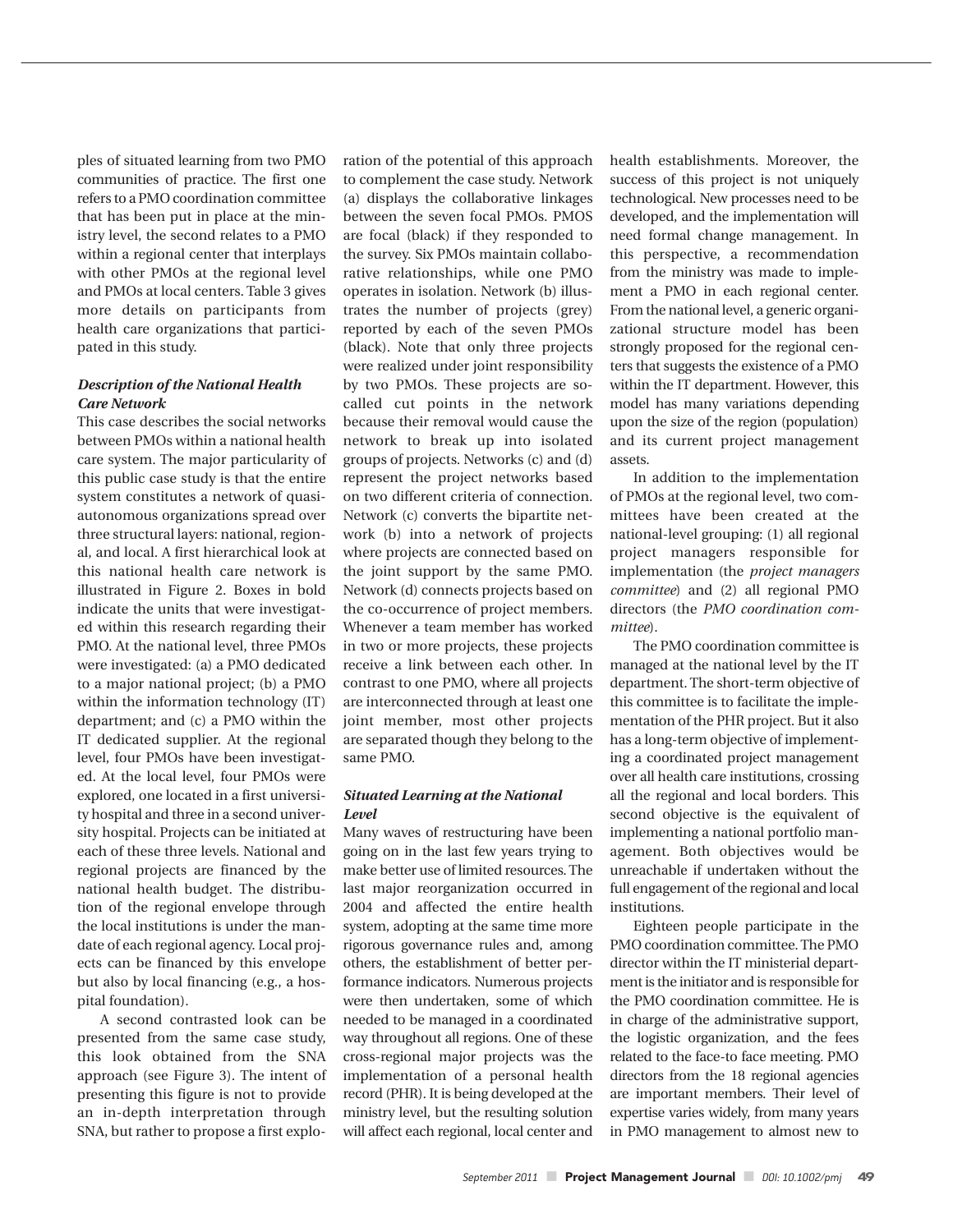ples of situated learning from two PMO communities of practice. The first one refers to a PMO coordination committee that has been put in place at the ministry level, the second relates to a PMO within a regional center that interplays with other PMOs at the regional level and PMOs at local centers. Table 3 gives more details on participants from health care organizations that participated in this study.

#### *Description of the National Health Care Network*

This case describes the social networks between PMOs within a national health care system. The major particularity of this public case study is that the entire system constitutes a network of quasiautonomous organizations spread over three structural layers: national, regional, and local. A first hierarchical look at this national health care network is illustrated in Figure 2. Boxes in bold indicate the units that were investigated within this research regarding their PMO. At the national level, three PMOs were investigated: (a) a PMO dedicated to a major national project; (b) a PMO within the information technology (IT) department; and (c) a PMO within the IT dedicated supplier. At the regional level, four PMOs have been investigated. At the local level, four PMOs were explored, one located in a first university hospital and three in a second university hospital. Projects can be initiated at each of these three levels. National and regional projects are financed by the national health budget. The distribution of the regional envelope through the local institutions is under the mandate of each regional agency. Local projects can be financed by this envelope but also by local financing (e.g., a hospital foundation).

A second contrasted look can be presented from the same case study, this look obtained from the SNA approach (see Figure 3). The intent of presenting this figure is not to provide an in-depth interpretation through SNA, but rather to propose a first exploration of the potential of this approach to complement the case study. Network (a) displays the collaborative linkages between the seven focal PMOs. PMOS are focal (black) if they responded to the survey. Six PMOs maintain collaborative relationships, while one PMO operates in isolation. Network (b) illustrates the number of projects (grey) reported by each of the seven PMOs (black). Note that only three projects were realized under joint responsibility by two PMOs. These projects are socalled cut points in the network because their removal would cause the network to break up into isolated groups of projects. Networks (c) and (d) represent the project networks based on two different criteria of connection. Network (c) converts the bipartite network (b) into a network of projects where projects are connected based on the joint support by the same PMO. Network (d) connects projects based on the co-occurrence of project members. Whenever a team member has worked in two or more projects, these projects receive a link between each other. In contrast to one PMO, where all projects are interconnected through at least one joint member, most other projects are separated though they belong to the same PMO.

#### *Situated Learning at the National Level*

Many waves of restructuring have been going on in the last few years trying to make better use of limited resources. The last major reorganization occurred in 2004 and affected the entire health system, adopting at the same time more rigorous governance rules and, among others, the establishment of better performance indicators. Numerous projects were then undertaken, some of which needed to be managed in a coordinated way throughout all regions. One of these cross-regional major projects was the implementation of a personal health record (PHR). It is being developed at the ministry level, but the resulting solution will affect each regional, local center and

health establishments. Moreover, the success of this project is not uniquely technological. New processes need to be developed, and the implementation will need formal change management. In this perspective, a recommendation from the ministry was made to implement a PMO in each regional center. From the national level, a generic organizational structure model has been strongly proposed for the regional centers that suggests the existence of a PMO within the IT department. However, this model has many variations depending upon the size of the region (population) and its current project management assets.

In addition to the implementation of PMOs at the regional level, two committees have been created at the national-level grouping: (1) all regional project managers responsible for implementation (the *project managers committee*) and (2) all regional PMO directors (the *PMO coordination committee*).

The PMO coordination committee is managed at the national level by the IT department. The short-term objective of this committee is to facilitate the implementation of the PHR project. But it also has a long-term objective of implementing a coordinated project management over all health care institutions, crossing all the regional and local borders. This second objective is the equivalent of implementing a national portfolio management. Both objectives would be unreachable if undertaken without the full engagement of the regional and local institutions.

Eighteen people participate in the PMO coordination committee. The PMO director within the IT ministerial department is the initiator and is responsible for the PMO coordination committee. He is in charge of the administrative support, the logistic organization, and the fees related to the face-to face meeting. PMO directors from the 18 regional agencies are important members. Their level of expertise varies widely, from many years in PMO management to almost new to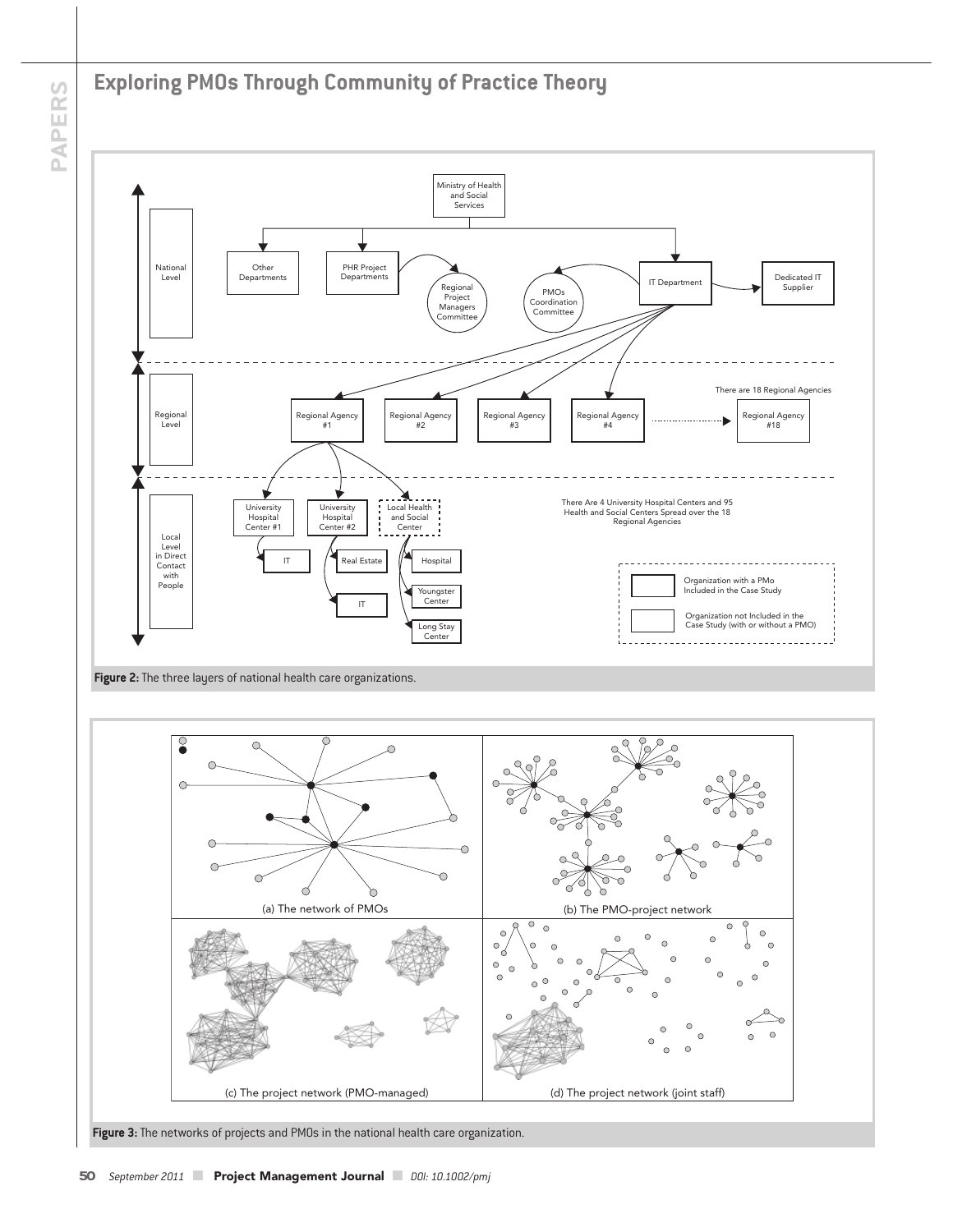



**PAPERS PAPERS**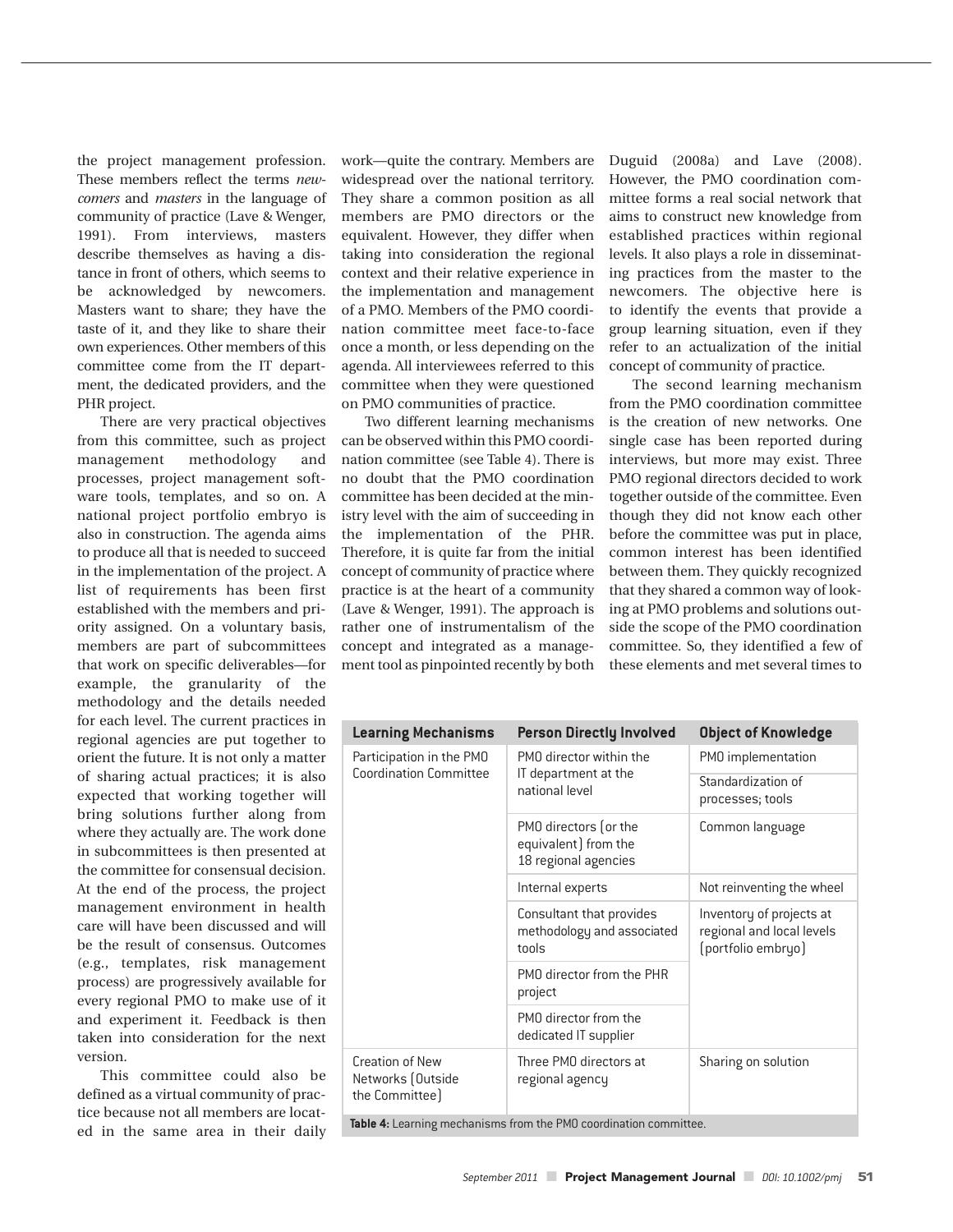the project management profession. These members reflect the terms *newcomers* and *masters* in the language of community of practice (Lave & Wenger, 1991). From interviews, masters describe themselves as having a distance in front of others, which seems to be acknowledged by newcomers. Masters want to share; they have the taste of it, and they like to share their own experiences. Other members of this committee come from the IT department, the dedicated providers, and the PHR project.

There are very practical objectives from this committee, such as project management methodology and processes, project management software tools, templates, and so on. A national project portfolio embryo is also in construction. The agenda aims to produce all that is needed to succeed in the implementation of the project. A list of requirements has been first established with the members and priority assigned. On a voluntary basis, members are part of subcommittees that work on specific deliverables—for example, the granularity of the methodology and the details needed for each level. The current practices in regional agencies are put together to orient the future. It is not only a matter of sharing actual practices; it is also expected that working together will bring solutions further along from where they actually are. The work done in subcommittees is then presented at the committee for consensual decision. At the end of the process, the project management environment in health care will have been discussed and will be the result of consensus. Outcomes (e.g., templates, risk management process) are progressively available for every regional PMO to make use of it and experiment it. Feedback is then taken into consideration for the next version.

This committee could also be defined as a virtual community of practice because not all members are located in the same area in their daily

work—quite the contrary. Members are widespread over the national territory. They share a common position as all members are PMO directors or the equivalent. However, they differ when taking into consideration the regional context and their relative experience in the implementation and management of a PMO. Members of the PMO coordination committee meet face-to-face once a month, or less depending on the agenda. All interviewees referred to this committee when they were questioned on PMO communities of practice.

Two different learning mechanisms can be observed within this PMO coordination committee (see Table 4). There is no doubt that the PMO coordination committee has been decided at the ministry level with the aim of succeeding in the implementation of the PHR. Therefore, it is quite far from the initial concept of community of practice where practice is at the heart of a community (Lave & Wenger, 1991). The approach is rather one of instrumentalism of the concept and integrated as a management tool as pinpointed recently by both

Duguid (2008a) and Lave (2008). However, the PMO coordination committee forms a real social network that aims to construct new knowledge from established practices within regional levels. It also plays a role in disseminating practices from the master to the newcomers. The objective here is to identify the events that provide a group learning situation, even if they refer to an actualization of the initial concept of community of practice.

The second learning mechanism from the PMO coordination committee is the creation of new networks. One single case has been reported during interviews, but more may exist. Three PMO regional directors decided to work together outside of the committee. Even though they did not know each other before the committee was put in place, common interest has been identified between them. They quickly recognized that they shared a common way of looking at PMO problems and solutions outside the scope of the PMO coordination committee. So, they identified a few of these elements and met several times to

| <b>Learning Mechanisms</b>                                | <b>Person Directly Involved</b>                                                                                       | <b>Object of Knowledge</b>                                                  |  |
|-----------------------------------------------------------|-----------------------------------------------------------------------------------------------------------------------|-----------------------------------------------------------------------------|--|
| Participation in the PMO<br><b>Coordination Committee</b> | PMO director within the                                                                                               | PMO implementation                                                          |  |
|                                                           | IT department at the<br>national level                                                                                | Standardization of<br>processes; tools                                      |  |
|                                                           | PMO directors (or the<br>equivalent) from the<br>18 regional agencies                                                 | Common language                                                             |  |
|                                                           | Internal experts                                                                                                      | Not reinventing the wheel                                                   |  |
|                                                           | Consultant that provides<br>methodology and associated<br>tools                                                       | Inventory of projects at<br>regional and local levels<br>(portfolio embryo) |  |
|                                                           | PMO director from the PHR<br>project                                                                                  |                                                                             |  |
|                                                           | PMO director from the<br>dedicated IT supplier                                                                        |                                                                             |  |
| Creation of New<br>Networks (Outside<br>the Committee)    | Three PMO directors at<br>regional agency                                                                             | Sharing on solution                                                         |  |
|                                                           | <b>The set of the set of the set of the set of the set of the set of the set of the set of the set of the set of </b> |                                                                             |  |

**Table 4:** Learning mechanisms from the PMO coordination committee.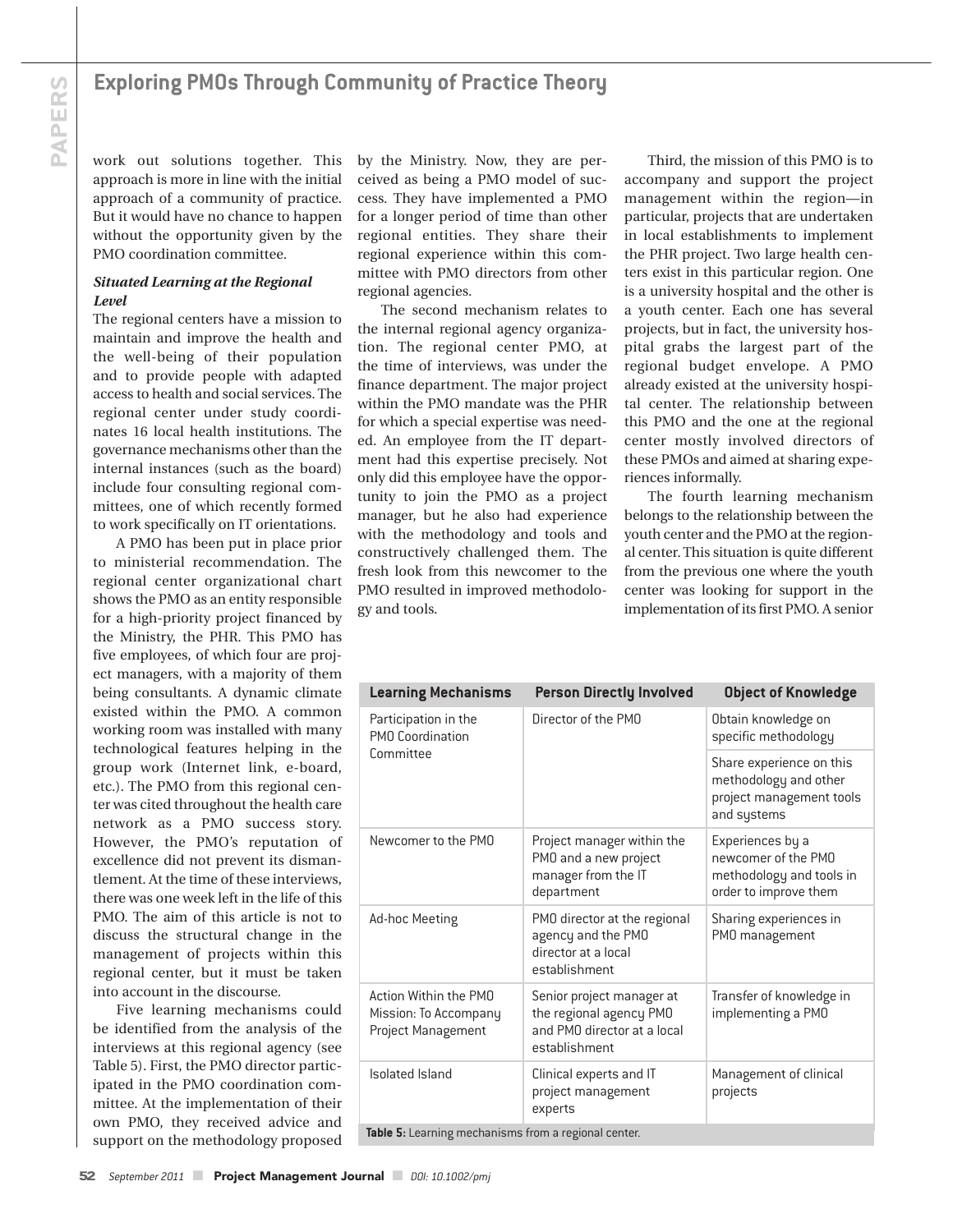work out solutions together. This approach is more in line with the initial approach of a community of practice. But it would have no chance to happen without the opportunity given by the PMO coordination committee.

#### *Situated Learning at the Regional Level*

The regional centers have a mission to maintain and improve the health and the well-being of their population and to provide people with adapted access to health and social services. The regional center under study coordinates 16 local health institutions. The governance mechanisms other than the internal instances (such as the board) include four consulting regional committees, one of which recently formed to work specifically on IT orientations.

A PMO has been put in place prior to ministerial recommendation. The regional center organizational chart shows the PMO as an entity responsible for a high-priority project financed by the Ministry, the PHR. This PMO has five employees, of which four are project managers, with a majority of them being consultants. A dynamic climate existed within the PMO. A common working room was installed with many technological features helping in the group work (Internet link, e-board, etc.). The PMO from this regional center was cited throughout the health care network as a PMO success story. However, the PMO's reputation of excellence did not prevent its dismantlement. At the time of these interviews, there was one week left in the life of this PMO. The aim of this article is not to discuss the structural change in the management of projects within this regional center, but it must be taken into account in the discourse.

Five learning mechanisms could be identified from the analysis of the interviews at this regional agency (see Table 5). First, the PMO director participated in the PMO coordination committee. At the implementation of their own PMO, they received advice and support on the methodology proposed

by the Ministry. Now, they are perceived as being a PMO model of success. They have implemented a PMO for a longer period of time than other regional entities. They share their regional experience within this committee with PMO directors from other regional agencies.

The second mechanism relates to the internal regional agency organization. The regional center PMO, at the time of interviews, was under the finance department. The major project within the PMO mandate was the PHR for which a special expertise was needed. An employee from the IT department had this expertise precisely. Not only did this employee have the opportunity to join the PMO as a project manager, but he also had experience with the methodology and tools and constructively challenged them. The fresh look from this newcomer to the PMO resulted in improved methodology and tools.

Third, the mission of this PMO is to accompany and support the project management within the region—in particular, projects that are undertaken in local establishments to implement the PHR project. Two large health centers exist in this particular region. One is a university hospital and the other is a youth center. Each one has several projects, but in fact, the university hospital grabs the largest part of the regional budget envelope. A PMO already existed at the university hospital center. The relationship between this PMO and the one at the regional center mostly involved directors of these PMOs and aimed at sharing experiences informally.

The fourth learning mechanism belongs to the relationship between the youth center and the PMO at the regional center. This situation is quite different from the previous one where the youth center was looking for support in the implementation of its first PMO. A senior

| <b>Learning Mechanisms</b>                                           | <b>Person Directly Involved</b>                                                                      | <b>Object of Knowledge</b>                                                                   |  |
|----------------------------------------------------------------------|------------------------------------------------------------------------------------------------------|----------------------------------------------------------------------------------------------|--|
| Participation in the<br><b>PMO Coordination</b>                      | Director of the PMO                                                                                  | Obtain knowledge on<br>specific methodology                                                  |  |
| Committee                                                            |                                                                                                      | Share experience on this<br>methodology and other<br>project management tools<br>and systems |  |
| Newcomer to the PMO                                                  | Project manager within the<br>PMO and a new project<br>manager from the IT<br>department             | Experiences by a<br>newcomer of the PMO<br>methodology and tools in<br>order to improve them |  |
| Ad-hoc Meeting                                                       | PMO director at the regional<br>agency and the PMO<br>director at a local<br>establishment           | Sharing experiences in<br>PMO management                                                     |  |
| Action Within the PMO<br>Mission: To Accompany<br>Project Management | Senior project manager at<br>the regional agency PMO<br>and PMO director at a local<br>establishment | Transfer of knowledge in<br>implementing a PMO                                               |  |
| <b>Isolated Island</b>                                               | Clinical experts and IT<br>project management<br>experts                                             | Management of clinical<br>projects                                                           |  |
| Table 5: Learning mechanisms from a regional center.                 |                                                                                                      |                                                                                              |  |

PAPERS **PAPERS**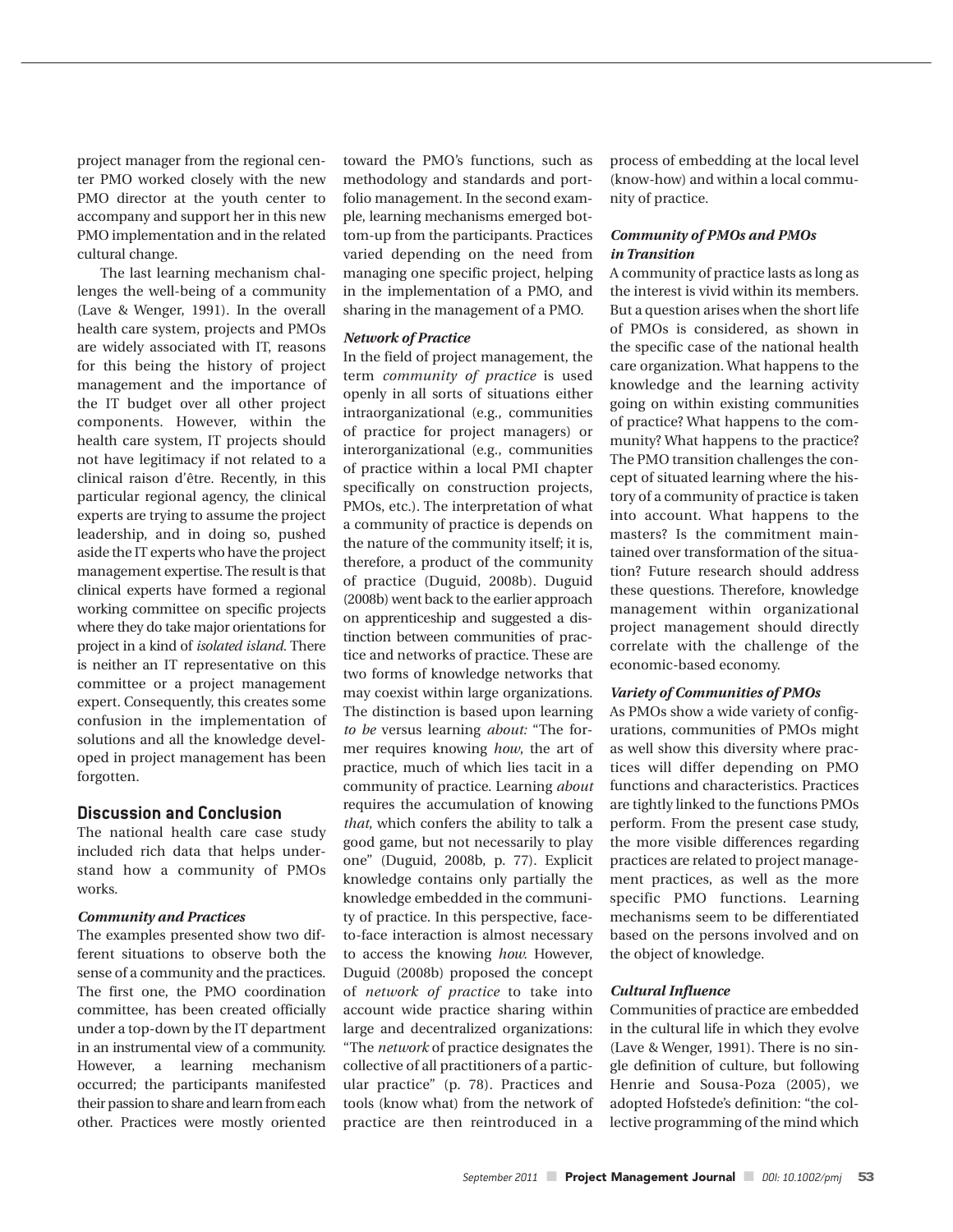project manager from the regional center PMO worked closely with the new PMO director at the youth center to accompany and support her in this new PMO implementation and in the related cultural change.

The last learning mechanism challenges the well-being of a community (Lave & Wenger, 1991). In the overall health care system, projects and PMOs are widely associated with IT, reasons for this being the history of project management and the importance of the IT budget over all other project components. However, within the health care system, IT projects should not have legitimacy if not related to a clinical raison d'être. Recently, in this particular regional agency, the clinical experts are trying to assume the project leadership, and in doing so, pushed aside the IT experts who have the project management expertise. The result is that clinical experts have formed a regional working committee on specific projects where they do take major orientations for project in a kind of *isolated island.* There is neither an IT representative on this committee or a project management expert. Consequently, this creates some confusion in the implementation of solutions and all the knowledge developed in project management has been forgotten.

#### **Discussion and Conclusion**

The national health care case study included rich data that helps understand how a community of PMOs works.

#### *Community and Practices*

The examples presented show two different situations to observe both the sense of a community and the practices. The first one, the PMO coordination committee, has been created officially under a top-down by the IT department in an instrumental view of a community. However, a learning mechanism occurred; the participants manifested their passion to share and learn from each other. Practices were mostly oriented toward the PMO's functions, such as methodology and standards and portfolio management. In the second example, learning mechanisms emerged bottom-up from the participants. Practices varied depending on the need from managing one specific project, helping in the implementation of a PMO, and sharing in the management of a PMO.

#### *Network of Practice*

In the field of project management, the term *community of practice* is used openly in all sorts of situations either intraorganizational (e.g., communities of practice for project managers) or interorganizational (e.g., communities of practice within a local PMI chapter specifically on construction projects, PMOs, etc.). The interpretation of what a community of practice is depends on the nature of the community itself; it is, therefore, a product of the community of practice (Duguid, 2008b). Duguid (2008b) went back to the earlier approach on apprenticeship and suggested a distinction between communities of practice and networks of practice. These are two forms of knowledge networks that may coexist within large organizations. The distinction is based upon learning *to be* versus learning *about:* "The former requires knowing *how*, the art of practice, much of which lies tacit in a community of practice. Learning *about* requires the accumulation of knowing *that*, which confers the ability to talk a good game, but not necessarily to play one" (Duguid, 2008b, p. 77). Explicit knowledge contains only partially the knowledge embedded in the community of practice. In this perspective, faceto-face interaction is almost necessary to access the knowing *how.* However, Duguid (2008b) proposed the concept of *network of practice* to take into account wide practice sharing within large and decentralized organizations: "The *network* of practice designates the collective of all practitioners of a particular practice" (p. 78). Practices and tools (know what) from the network of practice are then reintroduced in a

process of embedding at the local level (know-how) and within a local community of practice.

#### *Community of PMOs and PMOs in Transition*

A community of practice lasts as long as the interest is vivid within its members. But a question arises when the short life of PMOs is considered, as shown in the specific case of the national health care organization. What happens to the knowledge and the learning activity going on within existing communities of practice? What happens to the community? What happens to the practice? The PMO transition challenges the concept of situated learning where the history of a community of practice is taken into account. What happens to the masters? Is the commitment maintained over transformation of the situation? Future research should address these questions. Therefore, knowledge management within organizational project management should directly correlate with the challenge of the economic-based economy.

#### *Variety of Communities of PMOs*

As PMOs show a wide variety of configurations, communities of PMOs might as well show this diversity where practices will differ depending on PMO functions and characteristics. Practices are tightly linked to the functions PMOs perform. From the present case study, the more visible differences regarding practices are related to project management practices, as well as the more specific PMO functions. Learning mechanisms seem to be differentiated based on the persons involved and on the object of knowledge.

#### *Cultural Influence*

Communities of practice are embedded in the cultural life in which they evolve (Lave & Wenger, 1991). There is no single definition of culture, but following Henrie and Sousa-Poza (2005), we adopted Hofstede's definition: "the collective programming of the mind which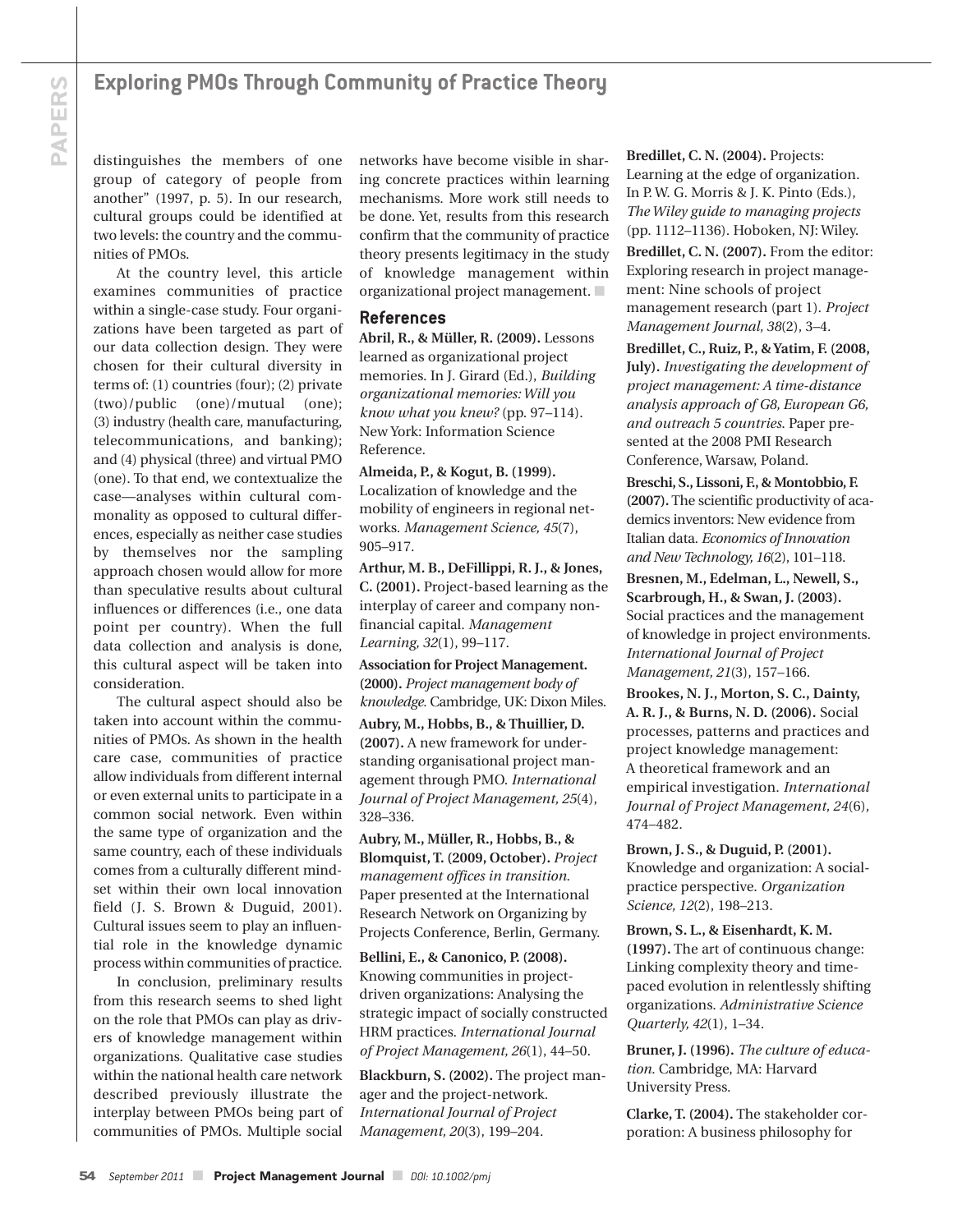distinguishes the members of one group of category of people from another" (1997, p. 5). In our research, cultural groups could be identified at two levels: the country and the communities of PMOs.

At the country level, this article examines communities of practice within a single-case study. Four organizations have been targeted as part of our data collection design. They were chosen for their cultural diversity in terms of: (1) countries (four); (2) private (two)/public (one)/mutual (one); (3) industry (health care, manufacturing, telecommunications, and banking); and (4) physical (three) and virtual PMO (one). To that end, we contextualize the case—analyses within cultural commonality as opposed to cultural differences, especially as neither case studies by themselves nor the sampling approach chosen would allow for more than speculative results about cultural influences or differences (i.e., one data point per country). When the full data collection and analysis is done, this cultural aspect will be taken into consideration.

The cultural aspect should also be taken into account within the communities of PMOs. As shown in the health care case, communities of practice allow individuals from different internal or even external units to participate in a common social network. Even within the same type of organization and the same country, each of these individuals comes from a culturally different mindset within their own local innovation field (J. S. Brown & Duguid, 2001). Cultural issues seem to play an influential role in the knowledge dynamic process within communities of practice.

In conclusion, preliminary results from this research seems to shed light on the role that PMOs can play as drivers of knowledge management within organizations. Qualitative case studies within the national health care network described previously illustrate the interplay between PMOs being part of communities of PMOs. Multiple social networks have become visible in sharing concrete practices within learning mechanisms. More work still needs to be done. Yet, results from this research confirm that the community of practice theory presents legitimacy in the study of knowledge management within organizational project management. ■

#### **References**

**Abril, R., & Müller, R. (2009).** Lessons learned as organizational project memories. In J. Girard (Ed.), *Building organizational memories: Will you know what you knew?* (pp. 97–114). New York: Information Science Reference.

**Almeida, P., & Kogut, B. (1999).** Localization of knowledge and the mobility of engineers in regional networks. *Management Science, 45*(7), 905–917.

**Arthur, M. B., DeFillippi, R. J., & Jones, C. (2001).** Project-based learning as the interplay of career and company nonfinancial capital. *Management Learning, 32*(1), 99–117.

**Association for Project Management. (2000).** *Project management body of knowledge.* Cambridge, UK: Dixon Miles. **Aubry, M., Hobbs, B., & Thuillier, D. (2007).** A new framework for understanding organisational project management through PMO. *International Journal of Project Management, 25*(4), 328–336.

**Aubry, M., Müller, R., Hobbs, B., & Blomquist, T. (2009, October).** *Project management offices in transition*. Paper presented at the International Research Network on Organizing by Projects Conference, Berlin, Germany.

**Bellini, E., & Canonico, P. (2008).** Knowing communities in projectdriven organizations: Analysing the strategic impact of socially constructed HRM practices. *International Journal of Project Management, 26*(1), 44–50.

**Blackburn, S. (2002).** The project manager and the project-network. *International Journal of Project Management, 20*(3), 199–204.

**Bredillet, C. N. (2004).** Projects: Learning at the edge of organization. In P. W. G. Morris & J. K. Pinto (Eds.), *The Wiley guide to managing projects* (pp. 1112–1136). Hoboken, NJ: Wiley. **Bredillet, C. N. (2007).** From the editor:

Exploring research in project management: Nine schools of project management research (part 1). *Project Management Journal, 38*(2), 3–4.

**Bredillet, C., Ruiz, P., & Yatim, F. (2008, July).** *Investigating the development of project management: A time-distance analysis approach of G8, European G6, and outreach 5 countries*. Paper presented at the 2008 PMI Research Conference, Warsaw, Poland.

**Breschi, S., Lissoni, F., & Montobbio, F. (2007).** The scientific productivity of academics inventors: New evidence from Italian data. *Economics of Innovation and New Technology, 16*(2), 101–118.

**Bresnen, M., Edelman, L., Newell, S., Scarbrough, H., & Swan, J. (2003).** Social practices and the management of knowledge in project environments. *International Journal of Project Management, 21*(3), 157–166.

**Brookes, N. J., Morton, S. C., Dainty, A. R. J., & Burns, N. D. (2006).** Social processes, patterns and practices and project knowledge management: A theoretical framework and an empirical investigation. *International Journal of Project Management, 24*(6), 474–482.

**Brown, J. S., & Duguid, P. (2001).** Knowledge and organization: A socialpractice perspective. *Organization Science, 12*(2), 198–213.

**Brown, S. L., & Eisenhardt, K. M. (1997).** The art of continuous change: Linking complexity theory and timepaced evolution in relentlessly shifting organizations. *Administrative Science Quarterly, 42*(1), 1–34.

**Bruner, J. (1996).** *The culture of education.* Cambridge, MA: Harvard University Press.

**Clarke, T. (2004).** The stakeholder corporation: A business philosophy for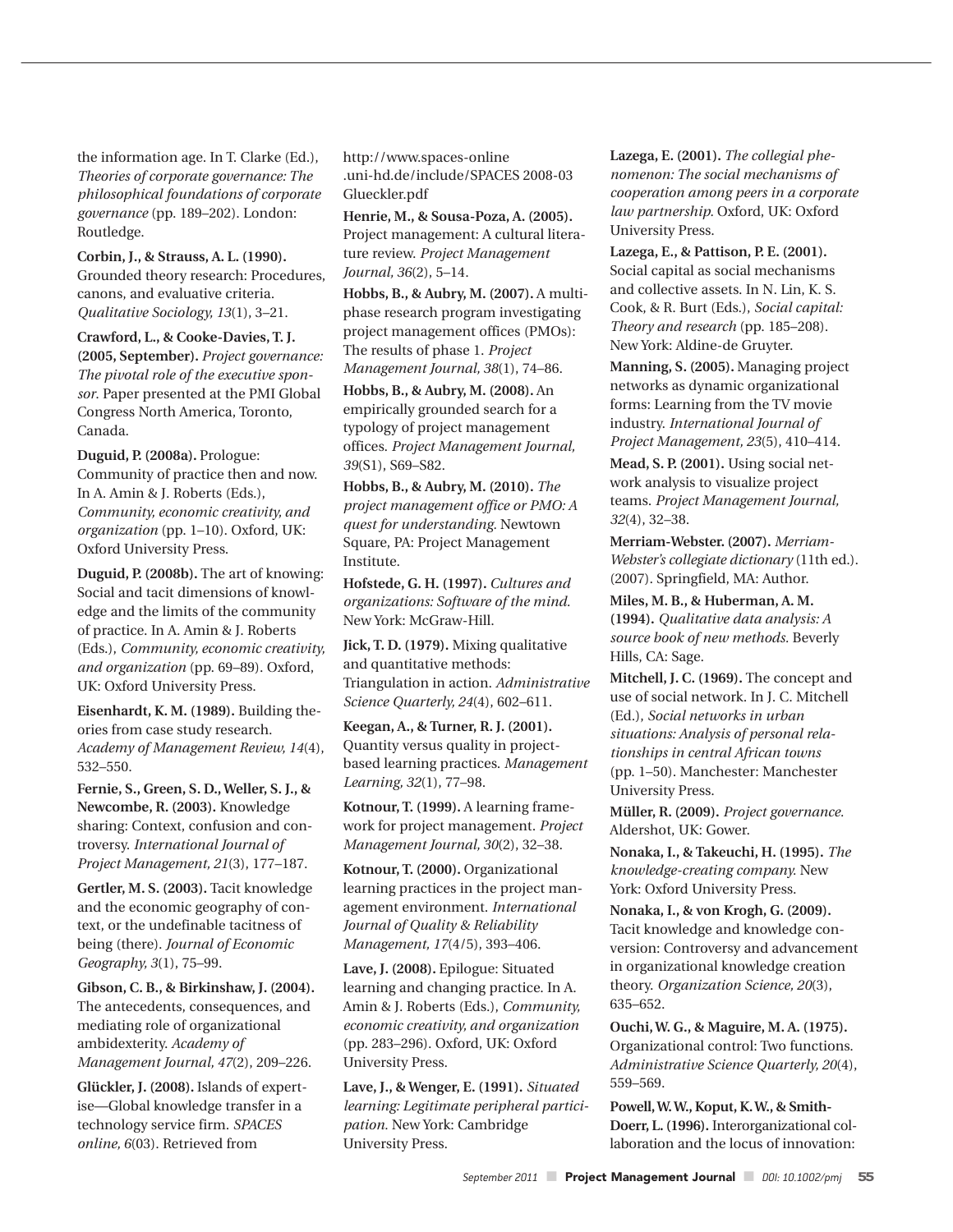the information age. In T. Clarke (Ed.), *Theories of corporate governance: The philosophical foundations of corporate governance* (pp. 189–202). London: Routledge.

**Corbin, J., & Strauss, A. L. (1990).** Grounded theory research: Procedures, canons, and evaluative criteria. *Qualitative Sociology, 13*(1), 3–21.

**Crawford, L., & Cooke-Davies, T. J. (2005, September).** *Project governance: The pivotal role of the executive sponsor*. Paper presented at the PMI Global Congress North America, Toronto, Canada.

**Duguid, P. (2008a).** Prologue: Community of practice then and now. In A. Amin & J. Roberts (Eds.), *Community, economic creativity, and organization* (pp. 1–10). Oxford, UK: Oxford University Press.

**Duguid, P. (2008b).** The art of knowing: Social and tacit dimensions of knowledge and the limits of the community of practice. In A. Amin & J. Roberts (Eds.), *Community, economic creativity, and organization* (pp. 69–89). Oxford, UK: Oxford University Press.

**Eisenhardt, K. M. (1989).** Building theories from case study research. *Academy of Management Review, 14*(4), 532–550.

**Fernie, S., Green, S. D., Weller, S. J., & Newcombe, R. (2003).** Knowledge sharing: Context, confusion and controversy. *International Journal of Project Management, 21*(3), 177–187.

**Gertler, M. S. (2003).** Tacit knowledge and the economic geography of context, or the undefinable tacitness of being (there). *Journal of Economic Geography, 3*(1), 75–99.

**Gibson, C. B., & Birkinshaw, J. (2004).** The antecedents, consequences, and mediating role of organizational ambidexterity. *Academy of Management Journal, 47*(2), 209–226.

**Glückler, J. (2008).** Islands of expertise—Global knowledge transfer in a technology service firm. *SPACES online, 6*(03). Retrieved from

http://www.spaces-online .uni-hd.de/include/SPACES 2008-03 Glueckler.pdf

**Henrie, M., & Sousa-Poza, A. (2005).** Project management: A cultural literature review. *Project Management Journal, 36*(2), 5–14.

**Hobbs, B., & Aubry, M. (2007).** A multiphase research program investigating project management offices (PMOs): The results of phase 1. *Project Management Journal, 38*(1), 74–86.

**Hobbs, B., & Aubry, M. (2008).** An empirically grounded search for a typology of project management offices. *Project Management Journal, 39*(S1), S69–S82.

**Hobbs, B., & Aubry, M. (2010).** *The project management office or PMO: A quest for understanding.* Newtown Square, PA: Project Management Institute.

**Hofstede, G. H. (1997).** *Cultures and organizations: Software of the mind.* New York: McGraw-Hill.

**Jick, T. D. (1979).** Mixing qualitative and quantitative methods: Triangulation in action. *Administrative Science Quarterly, 24*(4), 602–611.

**Keegan, A., & Turner, R. J. (2001).** Quantity versus quality in projectbased learning practices. *Management Learning, 32*(1), 77–98.

**Kotnour, T. (1999).** A learning framework for project management. *Project Management Journal, 30*(2), 32–38.

**Kotnour, T. (2000).** Organizational learning practices in the project management environment. *International Journal of Quality & Reliability Management, 17*(4/5), 393–406.

**Lave, J. (2008).** Epilogue: Situated learning and changing practice. In A. Amin & J. Roberts (Eds.), *Community, economic creativity, and organization* (pp. 283–296). Oxford, UK: Oxford University Press.

**Lave, J., & Wenger, E. (1991).** *Situated learning: Legitimate peripheral participation.* New York: Cambridge University Press.

**Lazega, E. (2001).** *The collegial phenomenon: The social mechanisms of cooperation among peers in a corporate law partnership.* Oxford, UK: Oxford University Press.

**Lazega, E., & Pattison, P. E. (2001).** Social capital as social mechanisms and collective assets. In N. Lin, K. S. Cook, & R. Burt (Eds.), *Social capital: Theory and research* (pp. 185–208). New York: Aldine-de Gruyter.

**Manning, S. (2005).** Managing project networks as dynamic organizational forms: Learning from the TV movie industry. *International Journal of Project Management, 23*(5), 410–414.

**Mead, S. P. (2001).** Using social network analysis to visualize project teams. *Project Management Journal, 32*(4), 32–38.

**Merriam-Webster. (2007).** *Merriam-Webster's collegiate dictionary* (11th ed.). (2007). Springfield, MA: Author.

**Miles, M. B., & Huberman, A. M. (1994).** *Qualitative data analysis: A source book of new methods.* Beverly Hills, CA: Sage.

**Mitchell, J. C. (1969).** The concept and use of social network. In J. C. Mitchell (Ed.), *Social networks in urban situations: Analysis of personal relationships in central African towns* (pp. 1–50). Manchester: Manchester University Press.

**Müller, R. (2009).** *Project governance.* Aldershot, UK: Gower.

**Nonaka, I., & Takeuchi, H. (1995).** *The knowledge-creating company.* New York: Oxford University Press.

**Nonaka, I., & von Krogh, G. (2009).** Tacit knowledge and knowledge conversion: Controversy and advancement in organizational knowledge creation theory. *Organization Science, 20*(3), 635–652.

**Ouchi, W. G., & Maguire, M. A. (1975).** Organizational control: Two functions. *Administrative Science Quarterly, 20*(4), 559–569.

**Powell, W. W., Koput, K. W., & Smith-Doerr, L. (1996).** Interorganizational collaboration and the locus of innovation: